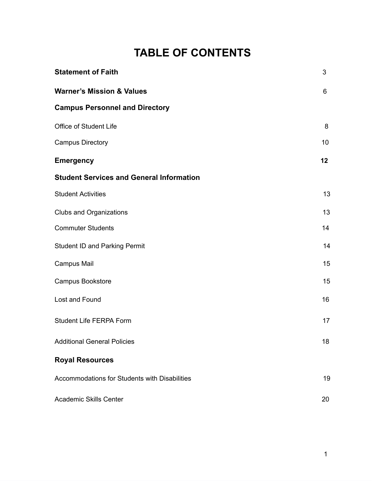## **TABLE OF CONTENTS**

| <b>Statement of Faith</b>                            | 3  |
|------------------------------------------------------|----|
| <b>Warner's Mission &amp; Values</b>                 | 6  |
| <b>Campus Personnel and Directory</b>                |    |
| Office of Student Life                               | 8  |
| <b>Campus Directory</b>                              | 10 |
| <b>Emergency</b>                                     | 12 |
| <b>Student Services and General Information</b>      |    |
| <b>Student Activities</b>                            | 13 |
| <b>Clubs and Organizations</b>                       | 13 |
| <b>Commuter Students</b>                             | 14 |
| <b>Student ID and Parking Permit</b>                 | 14 |
| Campus Mail                                          | 15 |
| Campus Bookstore                                     | 15 |
| Lost and Found                                       | 16 |
| <b>Student Life FERPA Form</b>                       | 17 |
| <b>Additional General Policies</b>                   | 18 |
| <b>Royal Resources</b>                               |    |
| <b>Accommodations for Students with Disabilities</b> | 19 |
| <b>Academic Skills Center</b>                        | 20 |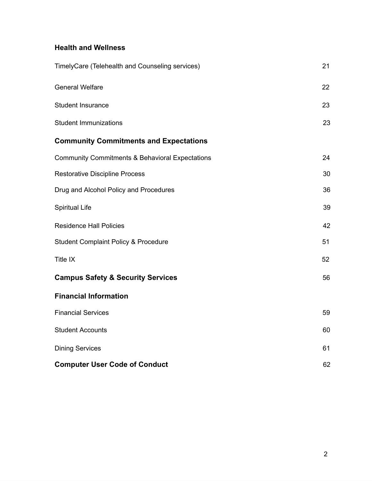### **Health and Wellness**

| TimelyCare (Telehealth and Counseling services)            | 21 |
|------------------------------------------------------------|----|
| <b>General Welfare</b>                                     | 22 |
| <b>Student Insurance</b>                                   | 23 |
| <b>Student Immunizations</b>                               | 23 |
| <b>Community Commitments and Expectations</b>              |    |
| <b>Community Commitments &amp; Behavioral Expectations</b> | 24 |
| <b>Restorative Discipline Process</b>                      | 30 |
| Drug and Alcohol Policy and Procedures                     | 36 |
| <b>Spiritual Life</b>                                      | 39 |
| <b>Residence Hall Policies</b>                             | 42 |
| <b>Student Complaint Policy &amp; Procedure</b>            | 51 |
| Title IX                                                   | 52 |
| <b>Campus Safety &amp; Security Services</b>               | 56 |
| <b>Financial Information</b>                               |    |
| <b>Financial Services</b>                                  | 59 |
| <b>Student Accounts</b>                                    | 60 |
| <b>Dining Services</b>                                     | 61 |
| <b>Computer User Code of Conduct</b>                       | 62 |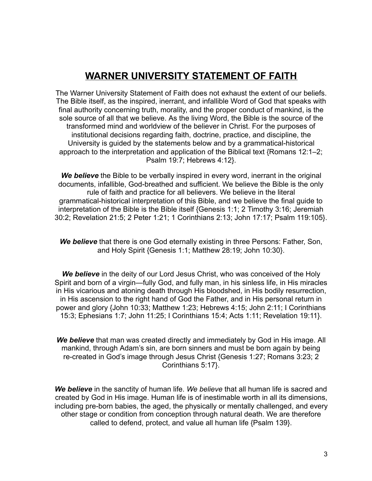### **WARNER UNIVERSITY STATEMENT OF FAITH**

The Warner University Statement of Faith does not exhaust the extent of our beliefs. The Bible itself, as the inspired, inerrant, and infallible Word of God that speaks with final authority concerning truth, morality, and the proper conduct of mankind, is the sole source of all that we believe. As the living Word, the Bible is the source of the transformed mind and worldview of the believer in Christ. For the purposes of institutional decisions regarding faith, doctrine, practice, and discipline, the University is guided by the statements below and by a grammatical-historical approach to the interpretation and application of the Biblical text {Romans 12:1–2; Psalm 19:7; Hebrews 4:12}.

*We believe* the Bible to be verbally inspired in every word, inerrant in the original documents, infallible, God-breathed and sufficient. We believe the Bible is the only rule of faith and practice for all believers. We believe in the literal grammatical-historical interpretation of this Bible, and we believe the final guide to interpretation of the Bible is the Bible itself {Genesis 1:1; 2 Timothy 3:16; Jeremiah 30:2; Revelation 21:5; 2 Peter 1:21; 1 Corinthians 2:13; John 17:17; Psalm 119:105}.

*We believe* that there is one God eternally existing in three Persons: Father, Son, and Holy Spirit {Genesis 1:1; Matthew 28:19; John 10:30}.

We believe in the deity of our Lord Jesus Christ, who was conceived of the Holy Spirit and born of a virgin—fully God, and fully man, in his sinless life, in His miracles in His vicarious and atoning death through His bloodshed, in His bodily resurrection, in His ascension to the right hand of God the Father, and in His personal return in power and glory {John 10:33; Matthew 1:23; Hebrews 4:15; John 2:11; I Corinthians 15:3; Ephesians 1:7; John 11:25; I Corinthians 15:4; Acts 1:11; Revelation 19:11}.

*We believe* that man was created directly and immediately by God in His image. All mankind, through Adam's sin, are born sinners and must be born again by being re-created in God's image through Jesus Christ {Genesis 1:27; Romans 3:23; 2 Corinthians 5:17}.

**We believe** in the sanctity of human life. We believe that all human life is sacred and created by God in His image. Human life is of inestimable worth in all its dimensions, including pre-born babies, the aged, the physically or mentally challenged, and every other stage or condition from conception through natural death. We are therefore called to defend, protect, and value all human life {Psalm 139}.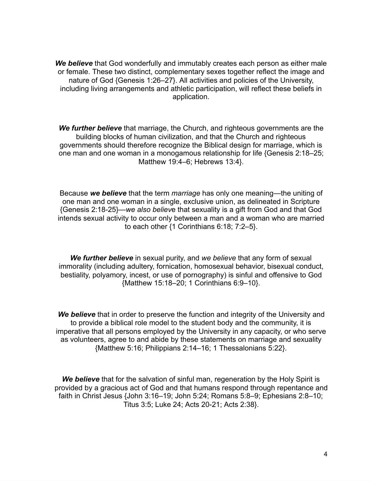*We believe* that God wonderfully and immutably creates each person as either male or female. These two distinct, complementary sexes together reflect the image and nature of God {Genesis 1:26–27}. All activities and policies of the University, including living arrangements and athletic participation, will reflect these beliefs in application.

*We further believe* that marriage, the Church, and righteous governments are the building blocks of human civilization, and that the Church and righteous governments should therefore recognize the Biblical design for marriage, which is one man and one woman in a monogamous relationship for life {Genesis 2:18–25; Matthew 19:4–6; Hebrews 13:4}.

Because *we believe* that the term *marriage* has only one meaning—the uniting of one man and one woman in a single, exclusive union, as delineated in Scripture {Genesis 2:18-25}—we also believe that sexuality is a gift from God and that God intends sexual activity to occur only between a man and a woman who are married to each other {1 Corinthians 6:18; 7:2–5}.

*We further believe* in sexual purity, and *we believe* that any form of sexual immorality (including adultery, fornication, homosexual behavior, bisexual conduct, bestiality, polyamory, incest, or use of pornography) is sinful and offensive to God {Matthew 15:18–20; 1 Corinthians 6:9–10}.

**We believe** that in order to preserve the function and integrity of the University and to provide a biblical role model to the student body and the community, it is imperative that all persons employed by the University in any capacity, or who serve as volunteers, agree to and abide by these statements on marriage and sexuality {Matthew 5:16; Philippians 2:14–16; 1 Thessalonians 5:22}.

*We believe* that for the salvation of sinful man, regeneration by the Holy Spirit is provided by a gracious act of God and that humans respond through repentance and faith in Christ Jesus {John 3:16–19; John 5:24; Romans 5:8–9; Ephesians 2:8–10; Titus 3:5; Luke 24; Acts 20-21; Acts 2:38}.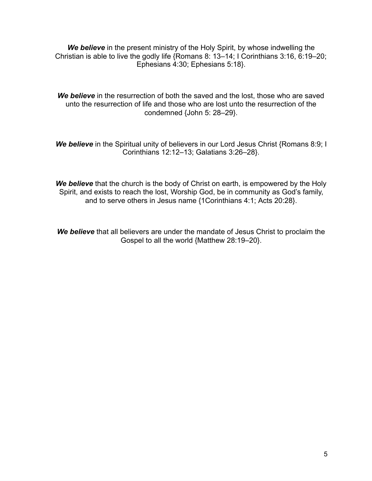We believe in the present ministry of the Holy Spirit, by whose indwelling the Christian is able to live the godly life {Romans 8: 13–14; I Corinthians 3:16, 6:19–20; Ephesians 4:30; Ephesians 5:18}.

**We believe** in the resurrection of both the saved and the lost, those who are saved unto the resurrection of life and those who are lost unto the resurrection of the condemned {John 5: 28–29}.

**We believe** in the Spiritual unity of believers in our Lord Jesus Christ {Romans 8:9; I Corinthians 12:12–13; Galatians 3:26–28}.

*We believe* that the church is the body of Christ on earth, is empowered by the Holy Spirit, and exists to reach the lost, Worship God, be in community as God's family, and to serve others in Jesus name {1Corinthians 4:1; Acts 20:28}.

*We believe* that all believers are under the mandate of Jesus Christ to proclaim the Gospel to all the world {Matthew 28:19–20}.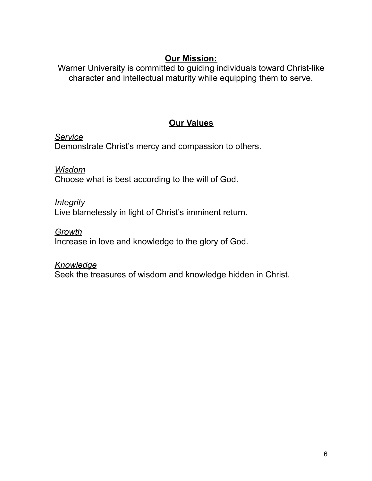### **Our Mission:**

Warner University is committed to guiding individuals toward Christ-like character and intellectual maturity while equipping them to serve.

### **Our Values**

*Service*  Demonstrate Christ's mercy and compassion to others.

## *Wisdom*

Choose what is best according to the will of God.

### *Integrity*

Live blamelessly in light of Christ's imminent return.

### *Growth*

Increase in love and knowledge to the glory of God.

#### *Knowledge*

Seek the treasures of wisdom and knowledge hidden in Christ.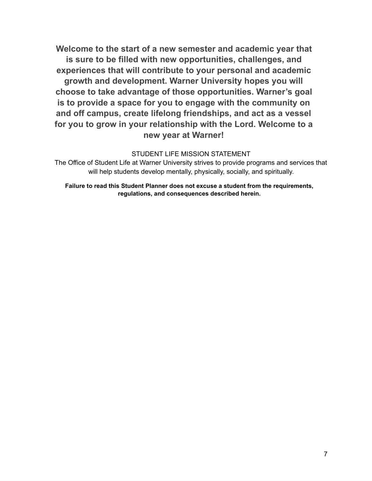**Welcome to the start of a new semester and academic year that is sure to be filled with new opportunities, challenges, and experiences that will contribute to your personal and academic growth and development. Warner University hopes you will choose to take advantage of those opportunities. Warner's goal is to provide a space for you to engage with the community on and off campus, create lifelong friendships, and act as a vessel for you to grow in your relationship with the Lord. Welcome to a new year at Warner!** 

#### STUDENT LIFE MISSION STATEMENT

The Office of Student Life at Warner University strives to provide programs and services that will help students develop mentally, physically, socially, and spiritually.

**Failure to read this Student Planner does not excuse a student from the requirements, regulations, and consequences described herein.**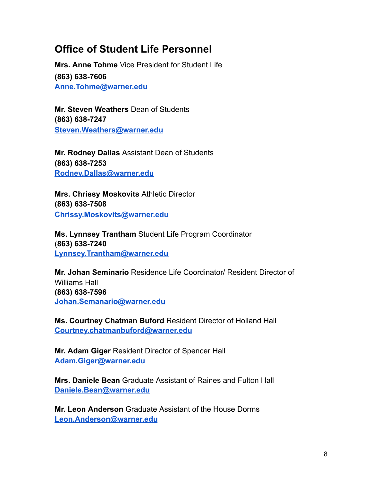### **Office of Student Life Personnel**

**Mrs. Anne Tohme** Vice President for Student Life **(863) 638-7606 [Anne.Tohme@warner.edu](mailto:Anne.Tohme@warner.edu)** 

**Mr. Steven Weathers** Dean of Students **(863) 638-7247 [Steven.Weathers@warner.edu](mailto:Steven.Weathers@warner.edu)** 

**Mr. Rodney Dallas** Assistant Dean of Students **(863) 638-7253 [Rodney.Dallas@warner.edu](mailto:Rodney.Dallas@warner.edu)** 

**Mrs. Chrissy Moskovits** Athletic Director **(863) 638-7508 [Chrissy.Moskovits@warner.edu](mailto:Chrissy.Moskovits@warner.edu)** 

**Ms. Lynnsey Trantham** Student Life Program Coordinator ( **863) 638-7240 [Lynnsey.Trantham@warner.edu](mailto:Lynnsey.Trantham@warner.edu)** 

**Mr. Johan Seminario** Residence Life Coordinator/ Resident Director of Williams Hall **(863) 638-7596 [Johan.Semanario@warner.edu](mailto:Johan.Semanario@warner.edu)** 

**Ms. Courtney Chatman Buford** Resident Director of Holland Hall **[Courtney.chatmanbuford@warner.edu](mailto:Courtney.chatmanbuford@warner.edu)** 

**Mr. Adam Giger** Resident Director of Spencer Hall **[Adam.Giger@warner.edu](mailto:Adam.Giger@warner.edu)** 

**Mrs. Daniele Bean** Graduate Assistant of Raines and Fulton Hall **[Daniele.Bean@warner.edu](mailto:Daniele.Bean@warner.edu)** 

**Mr. Leon Anderson** Graduate Assistant of the House Dorms **[Leon.Anderson@warner.edu](mailto:Leon.Anderson@warner.edu)**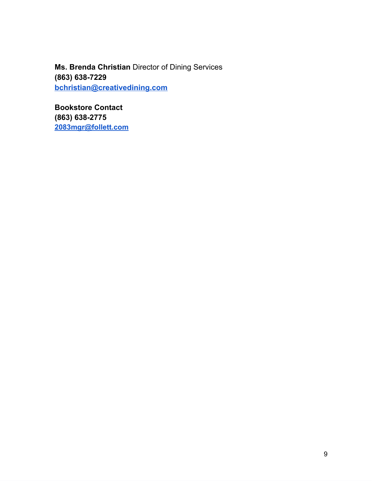**Ms. Brenda Christian** Director of Dining Services **(863) 638-7229 [bchristian@creativedining.com](mailto:bchristian@creativedining.com)** 

**Bookstore Contact (863) 638-2775 [2083mgr@follett.com](mailto:2083mgr@follett.com)**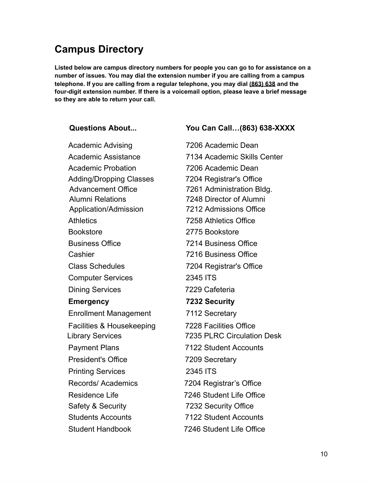### **Campus Directory**

**Listed below are campus directory numbers for people you can go to for assistance on a number of issues. You may dial the extension number if you are calling from a campus telephone. If you are calling from a regular telephone, you may dial (863) 638 and the four-digit extension number. If there is a voicemail option, please leave a brief message so they are able to return your call.** 

**Questions About... You Can Call…(863) 638-XXXX** 

Academic Advising 7206 Academic Dean Academic Probation 7206 Academic Dean Adding/Dropping Classes 7204 Registrar's Office Advancement Office 7261 Administration Bldg. Alumni Relations 7248 Director of Alumni Application/Admission 7212 Admissions Office Athletics 7258 Athletics Office Bookstore 2775 Bookstore Business Office 7214 Business Office Cashier 7216 Business Office Class Schedules 7204 Registrar's Office Computer Services 2345 ITS Dining Services 7229 Cafeteria **Emergency 7232 Security**  Enrollment Management 7112 Secretary Facilities & Housekeeping 7228 Facilities Office Payment Plans 7122 Student Accounts President's Office 7209 Secretary Printing Services 2345 ITS Records/ Academics 7204 Registrar's Office Residence Life 7246 Student Life Office Safety & Security 7232 Security Office Students Accounts 7122 Student Accounts Student Handbook 7246 Student Life Office

Academic Assistance 7134 Academic Skills Center Library Services 7235 PLRC Circulation Desk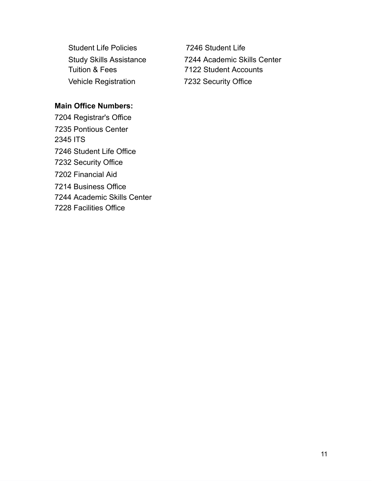Student Life Policies 7246 Student Life Vehicle Registration 7232 Security Office

Study Skills Assistance 7244 Academic Skills Center Tuition & Fees 7122 Student Accounts

#### **Main Office Numbers:**

7204 Registrar's Office 7235 Pontious Center 2345 ITS 7246 Student Life Office 7232 Security Office 7202 Financial Aid 7214 Business Office 7244 Academic Skills Center 7228 Facilities Office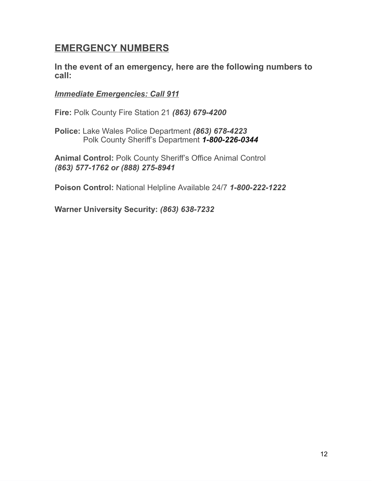### **EMERGENCY NUMBERS**

**In the event of an emergency, here are the following numbers to call:** 

#### *Immediate Emergencies: Call 911*

**Fire:** Polk County Fire Station 21 *(863) 679-4200* 

**Police:** Lake Wales Police Department *(863) 678-4223* Polk County Sheriff's Department *1-800-226-0344* 

**Animal Control:** Polk County Sheriff's Office Animal Control *(863) 577-1762 or (888) 275-8941* 

**Poison Control:** National Helpline Available 24/7 *1-800-222-1222* 

**Warner University Security:** *(863) 638-7232*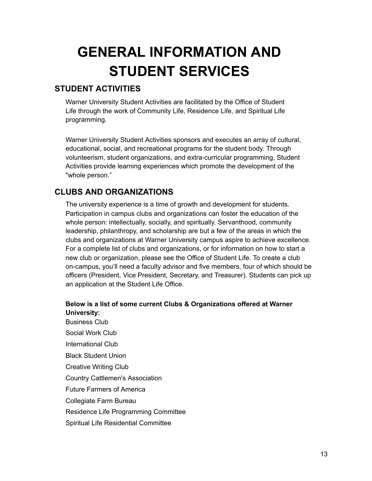## **GENERAL INFORMATION AND STUDENT SERVICES**

### **STUDENT ACTIVITIES**

Warner University Student Activities are facilitated by the Office of Student Life through the work of Community Life, Residence Life, and Spiritual Life programming.

Warner University Student Activities sponsors and executes an array of cultural, educational, social, and recreational programs for the student body. Through volunteerism, student organizations, and extra-curricular programming, Student Activities provide learning experiences which promote the development of the "whole person."

#### **CLUBS AND ORGANIZATIONS**

The university experience is a time of growth and development for students. Participation in campus clubs and organizations can foster the education of the whole person: intellectually, socially, and spiritually. Servanthood, community leadership, philanthropy, and scholarship are but a few of the areas in which the clubs and organizations at Warner University campus aspire to achieve excellence. For a complete list of clubs and organizations, or for information on how to start a new club or organization, please see the Office of Student Life. To create a club on-campus, you'll need a faculty advisor and five members, four of which should be officers (President, Vice President, Secretary, and Treasurer). Students can pick up an application at the Student Life Office.

#### **Below is a list of some current Clubs & Organizations offered at Warner University:**

Business Club Social Work Club International Club Black Student Union Creative Writing Club Country Cattlemen's Association Future Farmers of America Collegiate Farm Bureau Residence Life Programming Committee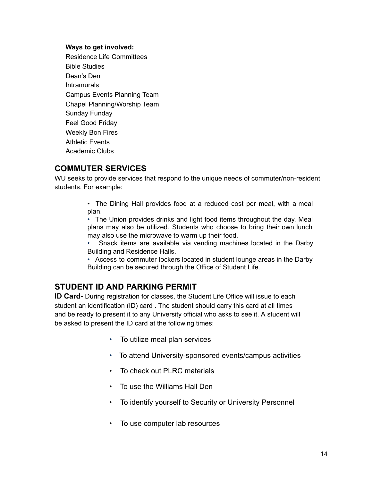#### **Ways to get involved:**

Residence Life Committees Bible Studies Dean's Den **Intramurals** Campus Events Planning Team Chapel Planning/Worship Team Sunday Funday Feel Good Friday Weekly Bon Fires Athletic Events Academic Clubs

#### **COMMUTER SERVICES**

WU seeks to provide services that respond to the unique needs of commuter/non-resident students. For example:

> • The Dining Hall provides food at a reduced cost per meal, with a meal plan.

> • The Union provides drinks and light food items throughout the day. Meal plans may also be utilized. Students who choose to bring their own lunch may also use the microwave to warm up their food.

> Snack items are available via vending machines located in the Darby Building and Residence Halls.

> • Access to commuter lockers located in student lounge areas in the Darby Building can be secured through the Office of Student Life.

#### **STUDENT ID AND PARKING PERMIT**

**ID Card-** During registration for classes, the Student Life Office will issue to each student an identification (ID) card . The student should carry this card at all times and be ready to present it to any University official who asks to see it. A student will be asked to present the ID card at the following times:

- To utilize meal plan services
- To attend University-sponsored events/campus activities
- To check out PLRC materials
- To use the Williams Hall Den
- To identify yourself to Security or University Personnel
- To use computer lab resources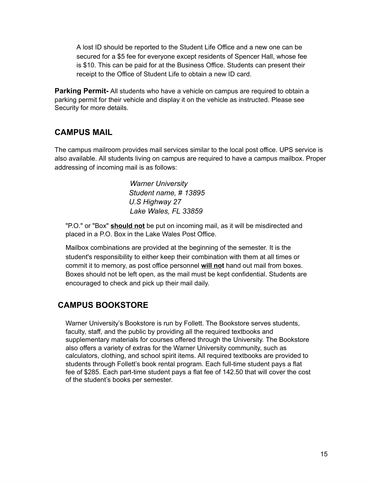A lost ID should be reported to the Student Life Office and a new one can be secured for a \$5 fee for everyone except residents of Spencer Hall, whose fee is \$10. This can be paid for at the Business Office. Students can present their receipt to the Office of Student Life to obtain a new ID card.

**Parking Permit-** All students who have a vehicle on campus are required to obtain a parking permit for their vehicle and display it on the vehicle as instructed. Please see Security for more details.

#### **CAMPUS MAIL**

The campus mailroom provides mail services similar to the local post office. UPS service is also available. All students living on campus are required to have a campus mailbox. Proper addressing of incoming mail is as follows:

> *Warner University Student name,* # *13895 U.S Highway 27 Lake Wales, FL 33859*

"P.O." or "Box" **should not** be put on incoming mail, as it will be misdirected and placed in a P.O. Box in the Lake Wales Post Office.

Mailbox combinations are provided at the beginning of the semester. It is the student's responsibility to either keep their combination with them at all times or commit it to memory, as post office personnel **will not** hand out mail from boxes. Boxes should not be left open, as the mail must be kept confidential. Students are encouraged to check and pick up their mail daily.

### **CAMPUS BOOKSTORE**

Warner University's Bookstore is run by Follett. The Bookstore serves students, faculty, staff, and the public by providing all the required textbooks and supplementary materials for courses offered through the University. The Bookstore also offers a variety of extras for the Warner University community, such as calculators, clothing, and school spirit items. All required textbooks are provided to students through Follett's book rental program. Each full-time student pays a flat fee of \$285. Each part-time student pays a flat fee of 142.50 that will cover the cost of the student's books per semester.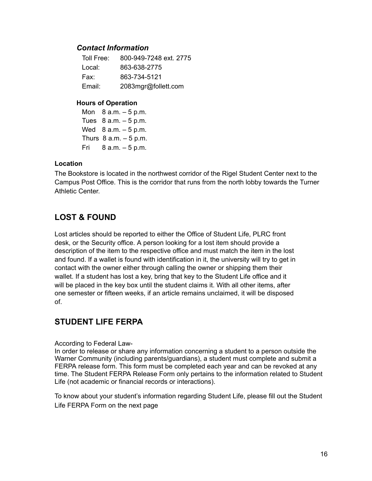#### *Contact Information*

| Toll Free: | 800-949-7248 ext. 2775 |
|------------|------------------------|
| Local:     | 863-638-2775           |
| Fax:       | 863-734-5121           |
| Email:     | 2083mgr@follett.com    |

#### **Hours of Operation**

Mon  $8 a.m. - 5 p.m.$ Tues  $8$  a.m.  $-5$  p.m. Wed  $8$  a.m.  $-5$  p.m. Thurs  $8$  a.m.  $-5$  p.m. Fri  $8 a.m. - 5 p.m.$ 

#### **Location**

The Bookstore is located in the northwest corridor of the Rigel Student Center next to the Campus Post Office. This is the corridor that runs from the north lobby towards the Turner Athletic Center.

#### **LOST & FOUND**

Lost articles should be reported to either the Office of Student Life, PLRC front desk, or the Security office. A person looking for a lost item should provide a description of the item to the respective office and must match the item in the lost and found. If a wallet is found with identification in it, the university will try to get in contact with the owner either through calling the owner or shipping them their wallet. If a student has lost a key, bring that key to the Student Life office and it will be placed in the key box until the student claims it. With all other items, after one semester or fifteen weeks, if an article remains unclaimed, it will be disposed of.

#### **STUDENT LIFE FERPA**

#### According to Federal Law-

In order to release or share any information concerning a student to a person outside the Warner Community (including parents/guardians), a student must complete and submit a FERPA release form. This form must be completed each year and can be revoked at any time. The Student FERPA Release Form only pertains to the information related to Student Life (not academic or financial records or interactions).

To know about your student's information regarding Student Life, please fill out the Student Life FERPA Form on the next page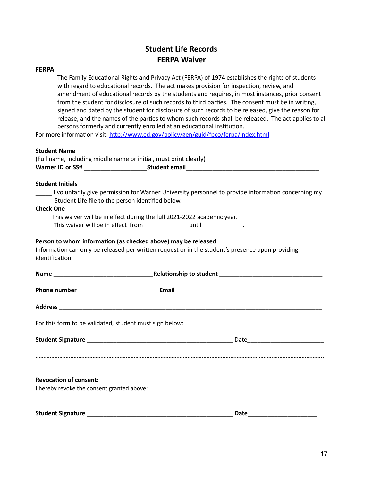#### **Student Life Records FERPA Waiver**

#### **FERPA**

The Family Educational Rights and Privacy Act (FERPA) of 1974 establishes the rights of students with regard to educational records. The act makes provision for inspection, review, and amendment of educational records by the students and requires, in most instances, prior consent from the student for disclosure of such records to third parties. The consent must be in writing, signed and dated by the student for disclosure of such records to be released, give the reason for release, and the names of the parties to whom such records shall be released. The act applies to all persons formerly and currently enrolled at an educational institution.

For more information visit: http://www.ed.gov/policy/gen/guid/fpco/ferpa/index.html

#### **Student Name** \_\_\_\_\_\_\_\_\_\_\_\_\_\_\_\_\_\_\_\_\_\_\_\_\_\_\_\_\_\_\_\_\_\_\_\_\_\_\_\_\_\_\_\_\_\_\_\_\_\_\_

(Full name, including middle name or initial, must print clearly) **Warner ID or SS#** \_\_\_\_\_\_\_\_\_\_\_\_\_\_\_\_\_\_\_ **Student email** \_\_\_\_\_\_\_\_\_\_\_\_\_\_\_\_\_\_\_\_\_\_\_\_\_\_\_\_\_\_\_\_\_\_\_\_\_\_\_\_

#### **Student Initials**

\_\_\_\_\_ I voluntarily give permission for Warner University personnel to provide information concerning my Student Life file to the person identified below.

#### **Check One**

\_\_\_\_\_This waiver will be in effect during the full 2021-2022 academic year.

\_\_\_\_\_\_ This waiver will be in effect from \_\_\_\_\_\_\_\_\_\_\_\_\_\_ until \_\_\_\_\_\_\_\_\_\_\_\_.

#### Person to whom information (as checked above) may be released

Information can only be released per written request or in the student's presence upon providing identification.

| For this form to be validated, student must sign below:                     |  |
|-----------------------------------------------------------------------------|--|
|                                                                             |  |
|                                                                             |  |
| <b>Revocation of consent:</b><br>I hereby revoke the consent granted above: |  |

**Student Signature** \_\_\_\_\_\_\_\_\_\_\_\_\_\_\_\_\_\_\_\_\_\_\_\_\_\_\_\_\_\_\_\_\_\_\_\_\_\_\_\_\_\_\_\_ **Date** \_\_\_\_\_\_\_\_\_\_\_\_\_\_\_\_\_\_\_\_\_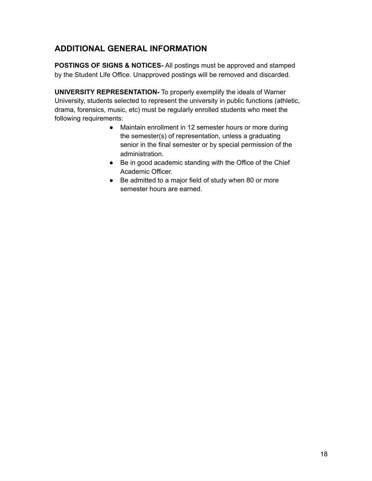### **ADDITIONAL GENERAL INFORMATION**

**POSTINGS OF SIGNS & NOTICES-** All postings must be approved and stamped by the Student Life Office. Unapproved postings will be removed and discarded.

**UNIVERSITY REPRESENTATION-** To properly exemplify the ideals of Warner University, students selected to represent the university in public functions (athletic, drama, forensics, music, etc) must be regularly enrolled students who meet the following requirements:

- Maintain enrollment in 12 semester hours or more during the semester(s) of representation, unless a graduating senior in the final semester or by special permission of the administration.
- Be in good academic standing with the Office of the Chief Academic Officer.
- Be admitted to a major field of study when 80 or more semester hours are earned.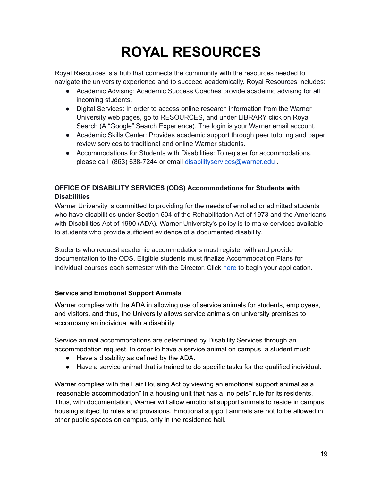# **ROYAL RESOURCES**

Royal Resources is a hub that connects the community with the resources needed to navigate the university experience and to succeed academically. Royal Resources includes:

- Academic Advising: Academic Success Coaches provide academic advising for all incoming students.
- Digital Services: In order to access online research information from the Warner University web pages, go to RESOURCES, and under LIBRARY click on Royal Search (A "Google" Search Experience). The login is your Warner email account.
- Academic Skills Center: Provides academic support through peer tutoring and paper review services to traditional and online Warner students.
- Accommodations for Students with Disabilities: To register for accommodations, please call (863) 638-7244 or email [disabilityservices@warner.edu](mailto:disabilityservices@warner.edu) .

#### **OFFICE OF DISABILITY SERVICES (ODS) Accommodations for Students with Disabilities**

Warner University is committed to providing for the needs of enrolled or admitted students who have disabilities under Section 504 of the Rehabilitation Act of 1973 and the Americans with Disabilities Act of 1990 (ADA). Warner University's policy is to make services available to students who provide sufficient evidence of a documented disability.

Students who request academic accommodations must register with and provide documentation to the ODS. Eligible students must finalize Accommodation Plans for individual courses each semester with the Director. Click [here](https://docs.google.com/forms/d/e/1FAIpQLSclxpC3Dqbi670innEYWrCOF4TkBMOTTCg1w7icyd3hJxquqw/viewform) to begin your application.

#### **Service and Emotional Support Animals**

Warner complies with the ADA in allowing use of service animals for students, employees, and visitors, and thus, the University allows service animals on university premises to accompany an individual with a disability.

Service animal accommodations are determined by Disability Services through an accommodation request. In order to have a service animal on campus, a student must:

- Have a disability as defined by the ADA.
- Have a service animal that is trained to do specific tasks for the qualified individual.

Warner complies with the Fair Housing Act by viewing an emotional support animal as a "reasonable accommodation" in a housing unit that has a "no pets" rule for its residents. Thus, with documentation, Warner will allow emotional support animals to reside in campus housing subject to rules and provisions. Emotional support animals are not to be allowed in other public spaces on campus, only in the residence hall.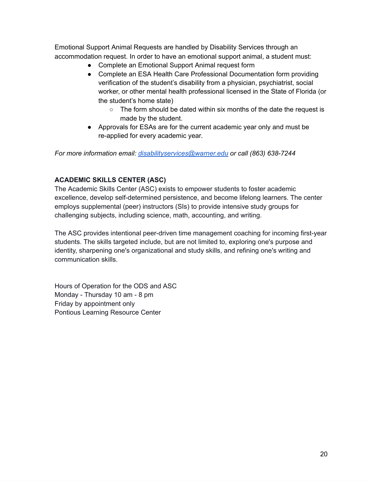Emotional Support Animal Requests are handled by Disability Services through an accommodation request. In order to have an emotional support animal, a student must:

- Complete an Emotional Support Animal request form
- Complete an ESA Health Care Professional Documentation form providing verification of the student's disability from a physician, psychiatrist, social worker, or other mental health professional licensed in the State of Florida (or the student's home state)
	- The form should be dated within six months of the date the request is made by the student.
- Approvals for ESAs are for the current academic year only and must be re-applied for every academic year.

*For more information email: [disabilityservices@warner.edu](mailto:disabilityservices@warner.edu) or call (863) 638-7244* 

#### **ACADEMIC SKILLS CENTER (ASC)**

The Academic Skills Center (ASC) exists to empower students to foster academic excellence, develop self-determined persistence, and become lifelong learners. The center employs supplemental (peer) instructors (SIs) to provide intensive study groups for challenging subjects, including science, math, accounting, and writing.

The ASC provides intentional peer-driven time management coaching for incoming first-year students. The skills targeted include, but are not limited to, exploring one's purpose and identity, sharpening one's organizational and study skills, and refining one's writing and communication skills.

Hours of Operation for the ODS and ASC Monday - Thursday 10 am - 8 pm Friday by appointment only Pontious Learning Resource Center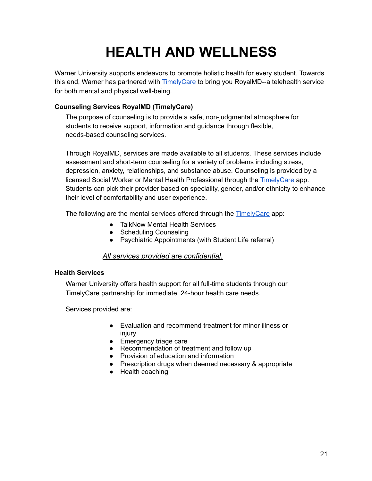## **HEALTH AND WELLNESS**

Warner University supports endeavors to promote holistic health for every student. Towards this end, Warner has partnered with [TimelyCare](https://timely.md/schools/index.html?school=royalmd&=) to bring you RoyalMD--a telehealth service for both mental and physical well-being.

#### **Counseling Services RoyalMD (TimelyCare)**

The purpose of counseling is to provide a safe, non-judgmental atmosphere for students to receive support, information and guidance through flexible, needs-based counseling services.

Through RoyalMD, services are made available to all students. These services include assessment and short-term counseling for a variety of problems including stress, depression, anxiety, relationships, and substance abuse. Counseling is provided by a licensed Social Worker or Mental Health Professional through the [TimelyCare](https://timely.md/schools/index.html?school=royalmd&=) app. Students can pick their provider based on speciality, gender, and/or ethnicity to enhance their level of comfortability and user experience.

The following are the mental services offered through the **TimelyCare** app:

- TalkNow Mental Health Services
- Scheduling Counseling
- Psychiatric Appointments (with Student Life referral)

#### *All services provided* are *confidential.*

#### **Health Services**

Warner University offers health support for all full-time students through our TimelyCare partnership for immediate, 24-hour health care needs.

Services provided are:

- Evaluation and recommend treatment for minor illness or injury
- Emergency triage care
- Recommendation of treatment and follow up
- Provision of education and information
- Prescription drugs when deemed necessary & appropriate
- Health coaching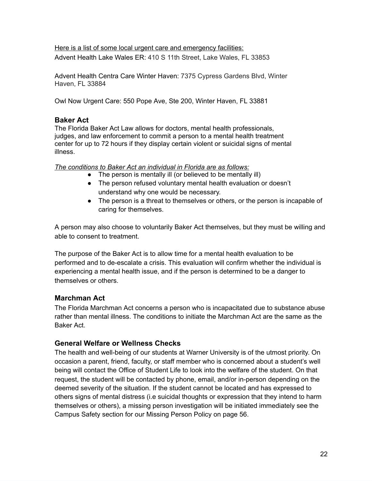Here is a list of some local urgent care and emergency facilities: Advent Health Lake Wales ER: 410 S 11th Street, Lake Wales, FL 33853

Advent Health Centra Care Winter Haven: 7375 Cypress Gardens Blvd, Winter Haven, FL 33884

Owl Now Urgent Care: 550 Pope Ave, Ste 200, Winter Haven, FL 33881

#### **Baker Act**

The Florida Baker Act Law allows for doctors, mental health professionals, judges, and law enforcement to commit a person to a mental health treatment center for up to 72 hours if they display certain violent or suicidal signs of mental illness.

*The conditions to Baker Act an individual in Florida are as follows:* 

- The person is mentally ill (or believed to be mentally ill)
- The person refused voluntary mental health evaluation or doesn't understand why one would be necessary.
- The person is a threat to themselves or others, or the person is incapable of caring for themselves.

A person may also choose to voluntarily Baker Act themselves, but they must be willing and able to consent to treatment.

The purpose of the Baker Act is to allow time for a mental health evaluation to be performed and to de-escalate a crisis. This evaluation will confirm whether the individual is experiencing a mental health issue, and if the person is determined to be a danger to themselves or others.

#### **Marchman Act**

The Florida Marchman Act concerns a person who is incapacitated due to substance abuse rather than mental illness. The conditions to initiate the Marchman Act are the same as the Baker Act.

#### **General Welfare or Wellness Checks**

The health and well-being of our students at Warner University is of the utmost priority. On occasion a parent, friend, faculty, or staff member who is concerned about a student's well being will contact the Office of Student Life to look into the welfare of the student. On that request, the student will be contacted by phone, email, and/or in-person depending on the deemed severity of the situation. If the student cannot be located and has expressed to others signs of mental distress (i.e suicidal thoughts or expression that they intend to harm themselves or others), a missing person investigation will be initiated immediately see the Campus Safety section for our Missing Person Policy on page 56.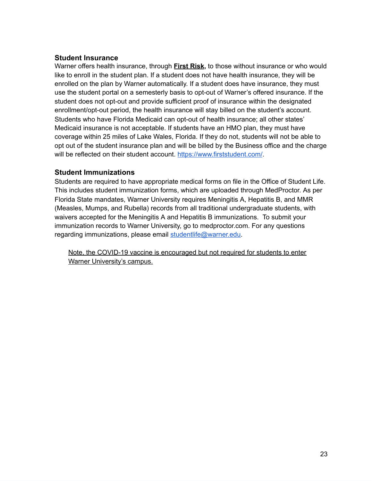#### **Student Insurance**

Warner offers health insurance, through **First Risk**, to those without insurance or who would like to enroll in the student plan. If a student does not have health insurance, they will be enrolled on the plan by Warner automatically. If a student does have insurance, they must use the student portal on a semesterly basis to opt-out of Warner's offered insurance. If the student does not opt-out and provide sufficient proof of insurance within the designated enrollment/opt-out period, the health insurance will stay billed on the student's account. Students who have Florida Medicaid can opt-out of health insurance; all other states' Medicaid insurance is not acceptable. If students have an HMO plan, they must have coverage within 25 miles of Lake Wales, Florida. If they do not, students will not be able to opt out of the student insurance plan and will be billed by the Business office and the charge will be reflected on their student account.<https://www.firststudent.com/>.

#### **Student Immunizations**

Students are required to have appropriate medical forms on file in the Office of Student Life. This includes student immunization forms, which are uploaded through MedProctor. As per Florida State mandates, Warner University requires Meningitis A, Hepatitis B, and MMR (Measles, Mumps, and Rubella) records from all traditional undergraduate students, with waivers accepted for the Meningitis A and Hepatitis B immunizations. To submit your immunization records to Warner University, go to medproctor.com. For any questions regarding immunizations, please email [studentlife@warner.edu](mailto:studentlife@warner.edu).

Note, the COVID-19 vaccine is encouraged but not required for students to enter Warner University's campus.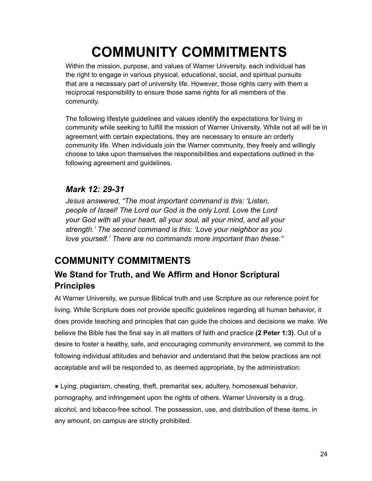## **COMMUNITY COMMITMENTS**

Within the mission, purpose, and values of Warner University, each individual has the right to engage in various physical, educational, social, and spiritual pursuits that are a necessary part of university life. However, those rights carry with them a reciprocal responsibility to ensure those same rights for all members of the community.

The following lifestyle guidelines and values identify the expectations for living in community while seeking to fulfill the mission of Warner University. While not all will be in agreement with certain expectations, they are necessary to ensure an orderly community life. When individuals join the Warner community, they freely and willingly choose to take upon themselves the responsibilities and expectations outlined in the following agreement and guidelines.

### *Mark 12: 29-31*

*Jesus answered, "The most important command is this: 'Listen, people of Israel! The Lord our God is the only Lord. Love the Lord your God with all your heart, all your soul, all your mind, and all your strength.' The second command is this: 'Love your neighbor as you love yourself.' There are no commands more important than these."* 

### **COMMUNITY COMMITMENTS**

### **We Stand for Truth, and We Affirm and Honor Scriptural Principles**

At Warner University, we pursue Biblical truth and use Scripture as our reference point for living. While Scripture does not provide specific guidelines regarding all human behavior, it does provide teaching and principles that can guide the choices and decisions we make. We believe the Bible has the final say in all matters of faith and practice **(2 Peter 1:3)** . Out of a desire to foster a healthy, safe, and encouraging community environment, we commit to the following individual attitudes and behavior and understand that the below practices are not acceptable and will be responded to, as deemed appropriate, by the administration:

● Lying, plagiarism, cheating, theft, premarital sex, adultery, homosexual behavior, pornography, and infringement upon the rights of others. Warner University is a drug, alcohol, and tobacco-free school. The possession, use, and distribution of these items, in any amount, on campus are strictly prohibited.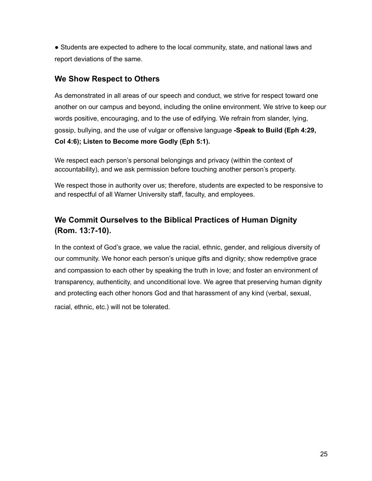• Students are expected to adhere to the local community, state, and national laws and report deviations of the same.

#### **We Show Respect to Others**

As demonstrated in all areas of our speech and conduct, we strive for respect toward one another on our campus and beyond, including the online environment. We strive to keep our words positive, encouraging, and to the use of edifying. We refrain from slander, lying, gossip, bullying, and the use of vulgar or offensive language **-Speak to Build (Eph 4:29, Col 4:6); Listen to Become more Godly (Eph 5:1).** 

We respect each person's personal belongings and privacy (within the context of accountability), and we ask permission before touching another person's property.

We respect those in authority over us; therefore, students are expected to be responsive to and respectful of all Warner University staff, faculty, and employees.

### **We Commit Ourselves to the Biblical Practices of Human Dignity (Rom. 13:7-10).**

In the context of God's grace, we value the racial, ethnic, gender, and religious diversity of our community. We honor each person's unique gifts and dignity; show redemptive grace and compassion to each other by speaking the truth in love; and foster an environment of transparency, authenticity, and unconditional love. We agree that preserving human dignity and protecting each other honors God and that harassment of any kind (verbal, sexual, racial, ethnic, etc.) will not be tolerated.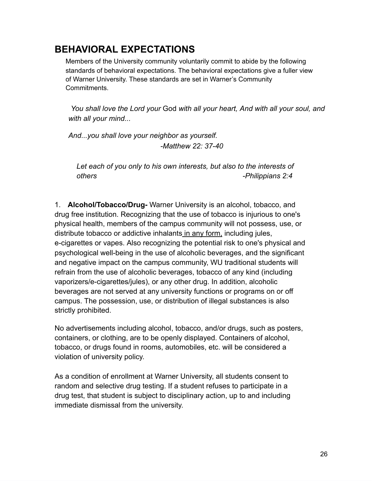### **BEHAVIORAL EXPECTATIONS**

Members of the University community voluntarily commit to abide by the following standards of behavioral expectations. The behavioral expectations give a fuller view of Warner University. These standards are set in Warner's Community Commitments.

 *You shall love the Lord your* God *with all your heart, And with all your soul, and with all your mind...* 

*And...you shall love your neighbor as yourself. -Matthew 22: 37-40* 

*Let each of you only to his own interests, but also to the interests of others -Philippians 2:4* 

1. **Alcohol/Tobacco/Drug-** Warner University is an alcohol, tobacco, and drug free institution. Recognizing that the use of tobacco is injurious to one's physical health, members of the campus community will not possess, use, or distribute tobacco or addictive inhalants in any form, including jules, e-cigarettes or vapes. Also recognizing the potential risk to one's physical and psychological well-being in the use of alcoholic beverages, and the significant and negative impact on the campus community, WU traditional students will refrain from the use of alcoholic beverages, tobacco of any kind (including vaporizers/e-cigarettes/jules), or any other drug. In addition, alcoholic beverages are not served at any university functions or programs on or off campus. The possession, use, or distribution of illegal substances is also strictly prohibited.

No advertisements including alcohol, tobacco, and/or drugs, such as posters, containers, or clothing, are to be openly displayed. Containers of alcohol, tobacco, or drugs found in rooms, automobiles, etc. will be considered a violation of university policy.

As a condition of enrollment at Warner University, all students consent to random and selective drug testing. If a student refuses to participate in a drug test, that student is subject to disciplinary action, up to and including immediate dismissal from the university.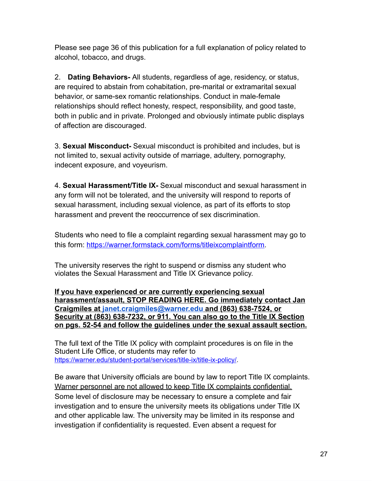Please see page 36 of this publication for a full explanation of policy related to alcohol, tobacco, and drugs.

2. **Dating Behaviors-** All students, regardless of age, residency, or status, are required to abstain from cohabitation, pre-marital or extramarital sexual behavior, or same-sex romantic relationships. Conduct in male-female relationships should reflect honesty, respect, responsibility, and good taste, both in public and in private. Prolonged and obviously intimate public displays of affection are discouraged.

3. **Sexual Misconduct-** Sexual misconduct is prohibited and includes, but is not limited to, sexual activity outside of marriage, adultery, pornography, indecent exposure, and voyeurism.

4. **Sexual Harassment/Title IX-** Sexual misconduct and sexual harassment in any form will not be tolerated, and the university will respond to reports of sexual harassment, including sexual violence, as part of its efforts to stop harassment and prevent the reoccurrence of sex discrimination.

Students who need to file a complaint regarding sexual harassment may go to this form: [https://warner.formstack.com/forms/titleixcomplaintform .](https://warner.formstack.com/forms/titleixcomplaintform)

The university reserves the right to suspend or dismiss any student who violates the Sexual Harassment and Title IX Grievance policy.

**If you have experienced or are currently experiencing sexual harassment/assault, STOP READING HERE. Go immediately contact Jan Craigmiles at [janet.craigmiles@warner.edu](mailto:janet.craigmiles@warner.edu) and (863) 638-7524, or Security at (863) 638-7232, or 911. You can also go to the Title IX Section on pgs. 52-54 and follow the guidelines under the sexual assault section.** 

The full text of the Title IX policy with complaint procedures is on file in the Student Life Office, or students may refer to <https://warner.edu/student-portal/services/title-ix/title-ix-policy/>.

Be aware that University officials are bound by law to report Title IX complaints. Warner personnel are not allowed to keep Title IX complaints confidential. Some level of disclosure may be necessary to ensure a complete and fair investigation and to ensure the university meets its obligations under Title IX and other applicable law. The university may be limited in its response and investigation if confidentiality is requested. Even absent a request for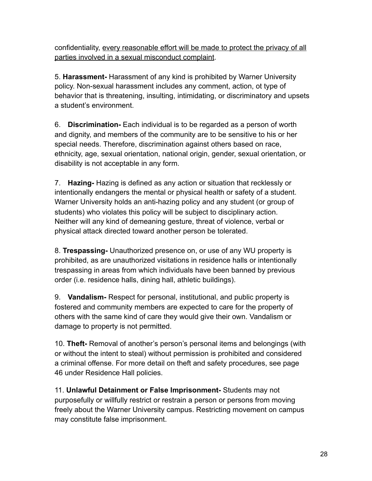confidentiality, every reasonable effort will be made to protect the privacy of all parties involved in a sexual misconduct complaint.

5. **Harassment-** Harassment of any kind is prohibited by Warner University policy. Non-sexual harassment includes any comment, action, ot type of behavior that is threatening, insulting, intimidating, or discriminatory and upsets a student's environment.

6. **Discrimination-** Each individual is to be regarded as a person of worth and dignity, and members of the community are to be sensitive to his or her special needs. Therefore, discrimination against others based on race, ethnicity, age, sexual orientation, national origin, gender, sexual orientation, or disability is not acceptable in any form.

7. **Hazing-** Hazing is defined as any action or situation that recklessly or intentionally endangers the mental or physical health or safety of a student. Warner University holds an anti-hazing policy and any student (or group of students) who violates this policy will be subject to disciplinary action. Neither will any kind of demeaning gesture, threat of violence, verbal or physical attack directed toward another person be tolerated.

8. **Trespassing-** Unauthorized presence on, or use of any WU property is prohibited, as are unauthorized visitations in residence halls or intentionally trespassing in areas from which individuals have been banned by previous order (i.e. residence halls, dining hall, athletic buildings).

9. **Vandalism-** Respect for personal, institutional, and public property is fostered and community members are expected to care for the property of others with the same kind of care they would give their own. Vandalism or damage to property is not permitted.

10. **Theft-** Removal of another's person's personal items and belongings (with or without the intent to steal) without permission is prohibited and considered a criminal offense. For more detail on theft and safety procedures, see page 46 under Residence Hall policies.

11. **Unlawful Detainment or False Imprisonment-** Students may not purposefully or willfully restrict or restrain a person or persons from moving freely about the Warner University campus. Restricting movement on campus may constitute false imprisonment.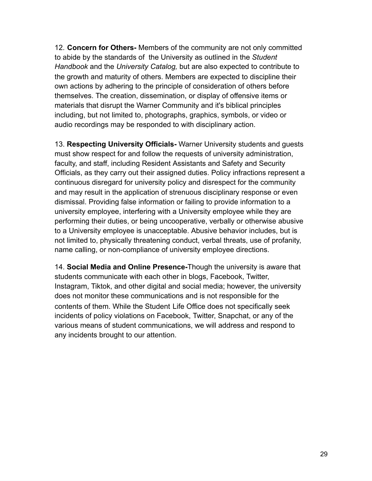12. **Concern for Others-** Members of the community are not only committed to abide by the standards of the University as outlined in the *Student Handbook* and the *University Catalog,* but are also expected to contribute to the growth and maturity of others. Members are expected to discipline their own actions by adhering to the principle of consideration of others before themselves. The creation, dissemination, or display of offensive items or materials that disrupt the Warner Community and it's biblical principles including, but not limited to, photographs, graphics, symbols, or video or audio recordings may be responded to with disciplinary action.

13. **Respecting University Officials-** Warner University students and guests must show respect for and follow the requests of university administration, faculty, and staff, including Resident Assistants and Safety and Security Officials, as they carry out their assigned duties. Policy infractions represent a continuous disregard for university policy and disrespect for the community and may result in the application of strenuous disciplinary response or even dismissal. Providing false information or failing to provide information to a university employee, interfering with a University employee while they are performing their duties, or being uncooperative, verbally or otherwise abusive to a University employee is unacceptable. Abusive behavior includes, but is not limited to, physically threatening conduct, verbal threats, use of profanity, name calling, or non-compliance of university employee directions.

14. **Social Media and Online Presence-** Though the university is aware that students communicate with each other in blogs, Facebook, Twitter, Instagram, Tiktok, and other digital and social media; however, the university does not monitor these communications and is not responsible for the contents of them. While the Student Life Office does not specifically seek incidents of policy violations on Facebook, Twitter, Snapchat, or any of the various means of student communications, we will address and respond to any incidents brought to our attention.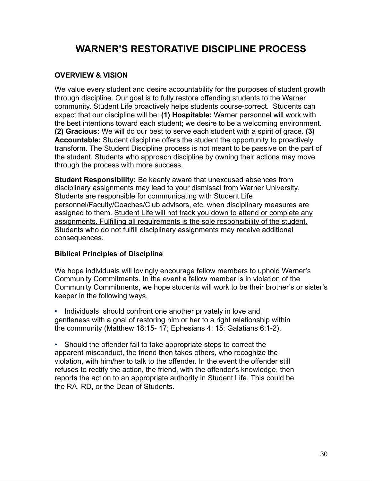### **WARNER'S RESTORATIVE DISCIPLINE PROCESS**

#### **OVERVIEW & VISION**

We value every student and desire accountability for the purposes of student growth through discipline. Our goal is to fully restore offending students to the Warner community. Student Life proactively helps students course-correct. Students can expect that our discipline will be: **(1) Hospitable:** Warner personnel will work with the best intentions toward each student; we desire to be a welcoming environment. **(2) Gracious:** We will do our best to serve each student with a spirit of grace. **(3) Accountable:** Student discipline offers the student the opportunity to proactively transform. The Student Discipline process is not meant to be passive on the part of the student. Students who approach discipline by owning their actions may move through the process with more success.

**Student Responsibility:** Be keenly aware that unexcused absences from disciplinary assignments may lead to your dismissal from Warner University. Students are responsible for communicating with Student Life personnel/Faculty/Coaches/Club advisors, etc. when disciplinary measures are assigned to them. Student Life will not track you down to attend or complete any assignments. Fulfilling all requirements is the sole responsibility of the student. Students who do not fulfill disciplinary assignments may receive additional consequences.

#### **Biblical Principles of Discipline**

We hope individuals will lovingly encourage fellow members to uphold Warner's Community Commitments. In the event a fellow member is in violation of the Community Commitments, we hope students will work to be their brother's or sister's keeper in the following ways.

• Individuals should confront one another privately in love and gentleness with a goal of restoring him or her to a right relationship within the community (Matthew 18:15- 17; Ephesians 4: 15; Galatians 6:1-2).

• Should the offender fail to take appropriate steps to correct the apparent misconduct, the friend then takes others, who recognize the violation, with him/her to talk to the offender. In the event the offender still refuses to rectify the action, the friend, with the offender's knowledge, then reports the action to an appropriate authority in Student Life. This could be the RA, RD, or the Dean of Students.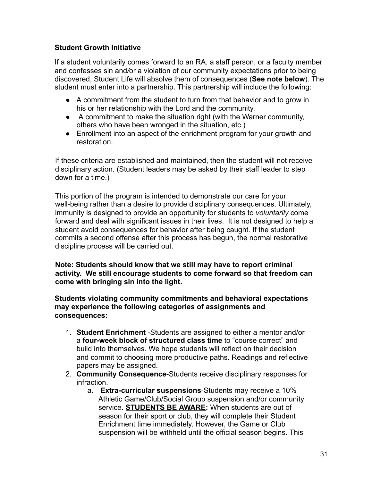#### **Student Growth Initiative**

If a student voluntarily comes forward to an RA, a staff person, or a faculty member and confesses sin and/or a violation of our community expectations prior to being discovered, Student Life will absolve them of consequences ( **See note below** ). The student must enter into a partnership. This partnership will include the following:

- A commitment from the student to turn from that behavior and to grow in his or her relationship with the Lord and the community.
- A commitment to make the situation right (with the Warner community, others who have been wronged in the situation, etc.)
- Enrollment into an aspect of the enrichment program for your growth and restoration.

If these criteria are established and maintained, then the student will not receive disciplinary action. (Student leaders may be asked by their staff leader to step down for a time.)

This portion of the program is intended to demonstrate our care for your well-being rather than a desire to provide disciplinary consequences. Ultimately, immunity is designed to provide an opportunity for students to *voluntarily* come forward and deal with significant issues in their lives. It is not designed to help a student avoid consequences for behavior after being caught. If the student commits a second offense after this process has begun, the normal restorative discipline process will be carried out.

**Note: Students should know that we still may have to report criminal activity. We still encourage students to come forward so that freedom can come with bringing sin into the light.** 

**Students violating community commitments and behavioral expectations may experience the following categories of assignments and consequences:** 

- 1. **Student Enrichment** -Students are assigned to either a mentor and/or a **four-week block of structured class time** to "course correct" and build into themselves. We hope students will reflect on their decision and commit to choosing more productive paths. Readings and reflective papers may be assigned.
- 2. **Community Consequence** -Students receive disciplinary responses for infraction.
	- a. **Extra-curricular suspensions** -Students may receive a 10% Athletic Game/Club/Social Group suspension and/or community service. **STUDENTS BE AWARE :** When students are out of season for their sport or club, they will complete their Student Enrichment time immediately. However, the Game or Club suspension will be withheld until the official season begins. This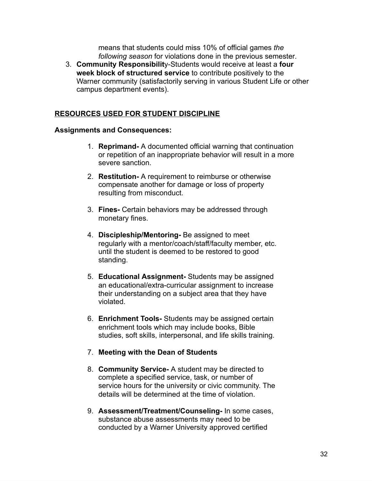means that students could miss 10% of official games *the following season* for violations done in the previous semester *.* 

3. **Community Responsibilit** y-Students would receive at least a **four week block of structured service** to contribute positively to the Warner community (satisfactorily serving in various Student Life or other campus department events).

#### **RESOURCES USED FOR STUDENT DISCIPLINE**

#### **Assignments and Consequences:**

- 1. **Reprimand-** A documented official warning that continuation or repetition of an inappropriate behavior will result in a more severe sanction.
- 2. **Restitution-** A requirement to reimburse or otherwise compensate another for damage or loss of property resulting from misconduct.
- 3. **Fines-** Certain behaviors may be addressed through monetary fines.
- 4. **Discipleship/Mentoring-** Be assigned to meet regularly with a mentor/coach/staff/faculty member, etc. until the student is deemed to be restored to good standing.
- 5. **Educational Assignment-** Students may be assigned an educational/extra-curricular assignment to increase their understanding on a subject area that they have violated.
- 6. **Enrichment Tools-** Students may be assigned certain enrichment tools which may include books, Bible studies, soft skills, interpersonal, and life skills training.

#### 7. **Meeting with the Dean of Students**

- 8. **Community Service-** A student may be directed to complete a specified service, task, or number of service hours for the university or civic community. The details will be determined at the time of violation.
- 9. **Assessment/Treatment/Counseling-** In some cases, substance abuse assessments may need to be conducted by a Warner University approved certified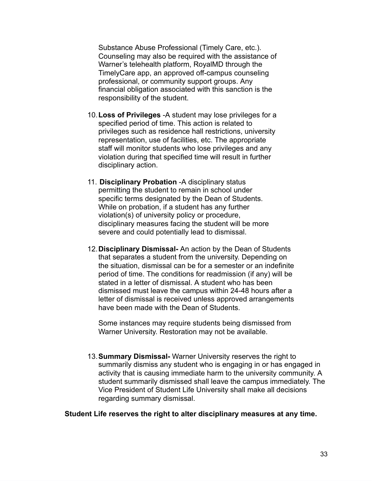Substance Abuse Professional (Timely Care, etc.). Counseling may also be required with the assistance of Warner's telehealth platform, RoyalMD through the TimelyCare app, an approved off-campus counseling professional, or community support groups. Any financial obligation associated with this sanction is the responsibility of the student.

- 10.**Loss of Privileges** -A student may lose privileges for a specified period of time. This action is related to privileges such as residence hall restrictions, university representation, use of facilities, etc. The appropriate staff will monitor students who lose privileges and any violation during that specified time will result in further disciplinary action.
- 11. **Disciplinary Probation** -A disciplinary status permitting the student to remain in school under specific terms designated by the Dean of Students. While on probation, if a student has any further violation(s) of university policy or procedure, disciplinary measures facing the student will be more severe and could potentially lead to dismissal.
- 12.**Disciplinary Dismissal-** An action by the Dean of Students that separates a student from the university. Depending on the situation, dismissal can be for a semester or an indefinite period of time. The conditions for readmission (if any) will be stated in a letter of dismissal. A student who has been dismissed must leave the campus within 24-48 hours after a letter of dismissal is received unless approved arrangements have been made with the Dean of Students.

Some instances may require students being dismissed from Warner University. Restoration may not be available.

13.**Summary Dismissal-** Warner University reserves the right to summarily dismiss any student who is engaging in or has engaged in activity that is causing immediate harm to the university community. A student summarily dismissed shall leave the campus immediately. The Vice President of Student Life University shall make all decisions regarding summary dismissal.

**Student Life reserves the right to alter disciplinary measures at any time.**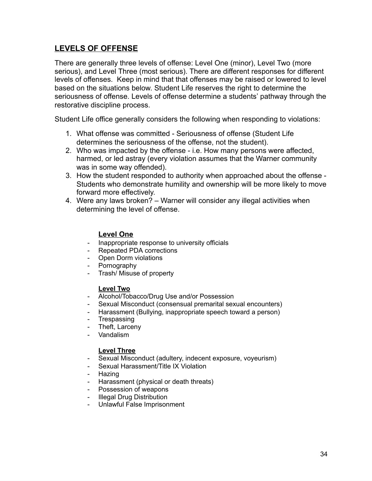#### **LEVELS OF OFFENSE**

There are generally three levels of offense: Level One (minor), Level Two (more serious), and Level Three (most serious). There are different responses for different levels of offenses. Keep in mind that that offenses may be raised or lowered to level based on the situations below. Student Life reserves the right to determine the seriousness of offense. Levels of offense determine a students' pathway through the restorative discipline process.

Student Life office generally considers the following when responding to violations:

- 1. What offense was committed Seriousness of offense (Student Life determines the seriousness of the offense, not the student).
- 2. Who was impacted by the offense i.e. How many persons were affected, harmed, or led astray (every violation assumes that the Warner community was in some way offended).
- 3. How the student responded to authority when approached about the offense Students who demonstrate humility and ownership will be more likely to move forward more effectively.
- 4. Were any laws broken? Warner will consider any illegal activities when determining the level of offense.

#### **Level One**

- Inappropriate response to university officials
- Repeated PDA corrections
- Open Dorm violations
- Pornography
- Trash/ Misuse of property

#### **Level Two**

- Alcohol/Tobacco/Drug Use and/or Possession
- Sexual Misconduct (consensual premarital sexual encounters)
- Harassment (Bullying, inappropriate speech toward a person)
- **Trespassing**
- Theft, Larceny
- Vandalism

#### **Level Three**

- Sexual Misconduct (adultery, indecent exposure, voyeurism)
- Sexual Harassment/Title IX Violation
- Hazing
- Harassment (physical or death threats)
- Possession of weapons
- **Illegal Drug Distribution**
- Unlawful False Imprisonment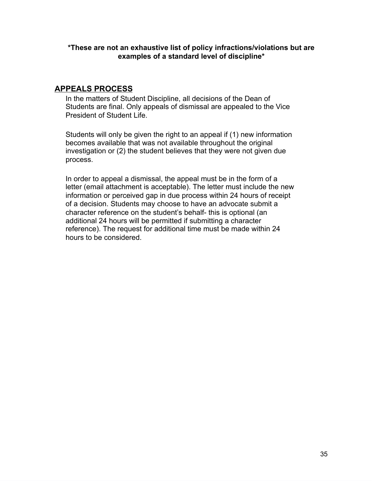**\*These are not an exhaustive list of policy infractions/violations but are examples of a standard level of discipline\*** 

#### **APPEALS PROCESS**

In the matters of Student Discipline, all decisions of the Dean of Students are final. Only appeals of dismissal are appealed to the Vice President of Student Life.

Students will only be given the right to an appeal if (1) new information becomes available that was not available throughout the original investigation or (2) the student believes that they were not given due process.

In order to appeal a dismissal, the appeal must be in the form of a letter (email attachment is acceptable). The letter must include the new information or perceived gap in due process within 24 hours of receipt of a decision. Students may choose to have an advocate submit a character reference on the student's behalf- this is optional (an additional 24 hours will be permitted if submitting a character reference). The request for additional time must be made within 24 hours to be considered.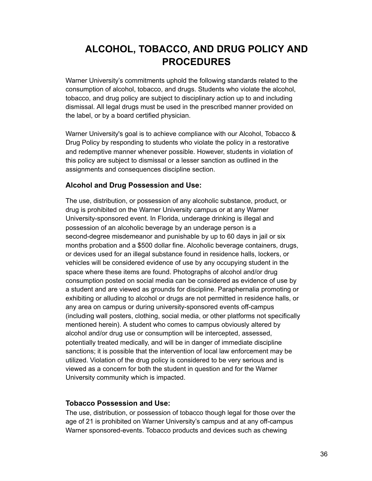### **ALCOHOL, TOBACCO, AND DRUG POLICY AND PROCEDURES**

Warner University's commitments uphold the following standards related to the consumption of alcohol, tobacco, and drugs. Students who violate the alcohol, tobacco, and drug policy are subject to disciplinary action up to and including dismissal. All legal drugs must be used in the prescribed manner provided on the label, or by a board certified physician.

Warner University's goal is to achieve compliance with our Alcohol, Tobacco & Drug Policy by responding to students who violate the policy in a restorative and redemptive manner whenever possible. However, students in violation of this policy are subject to dismissal or a lesser sanction as outlined in the assignments and consequences discipline section.

#### **Alcohol and Drug Possession and Use:**

The use, distribution, or possession of any alcoholic substance, product, or drug is prohibited on the Warner University campus or at any Warner University-sponsored event. In Florida, underage drinking is illegal and possession of an alcoholic beverage by an underage person is a second-degree misdemeanor and punishable by up to 60 days in jail or six months probation and a \$500 dollar fine. Alcoholic beverage containers, drugs, or devices used for an illegal substance found in residence halls, lockers, or vehicles will be considered evidence of use by any occupying student in the space where these items are found. Photographs of alcohol and/or drug consumption posted on social media can be considered as evidence of use by a student and are viewed as grounds for discipline. Paraphernalia promoting or exhibiting or alluding to alcohol or drugs are not permitted in residence halls, or any area on campus or during university-sponsored events off-campus (including wall posters, clothing, social media, or other platforms not specifically mentioned herein). A student who comes to campus obviously altered by alcohol and/or drug use or consumption will be intercepted, assessed, potentially treated medically, and will be in danger of immediate discipline sanctions; it is possible that the intervention of local law enforcement may be utilized. Violation of the drug policy is considered to be very serious and is viewed as a concern for both the student in question and for the Warner University community which is impacted.

#### **Tobacco Possession and Use:**

The use, distribution, or possession of tobacco though legal for those over the age of 21 is prohibited on Warner University's campus and at any off-campus Warner sponsored-events. Tobacco products and devices such as chewing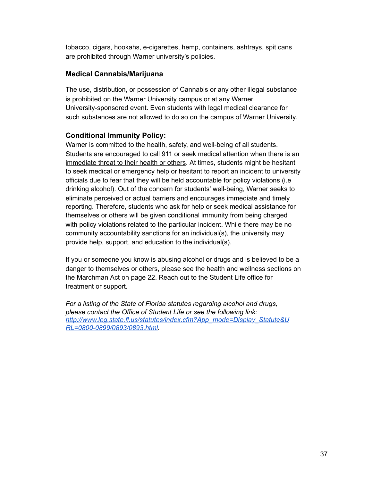tobacco, cigars, hookahs, e-cigarettes, hemp, containers, ashtrays, spit cans are prohibited through Warner university's policies.

#### **Medical Cannabis/Marijuana**

The use, distribution, or possession of Cannabis or any other illegal substance is prohibited on the Warner University campus or at any Warner University-sponsored event. Even students with legal medical clearance for such substances are not allowed to do so on the campus of Warner University.

#### **Conditional Immunity Policy:**

Warner is committed to the health, safety, and well-being of all students. Students are encouraged to call 911 or seek medical attention when there is an immediate threat to their health or others . At times, students might be hesitant to seek medical or emergency help or hesitant to report an incident to university officials due to fear that they will be held accountable for policy violations (i.e drinking alcohol). Out of the concern for students' well-being, Warner seeks to eliminate perceived or actual barriers and encourages immediate and timely reporting. Therefore, students who ask for help or seek medical assistance for themselves or others will be given conditional immunity from being charged with policy violations related to the particular incident. While there may be no community accountability sanctions for an individual(s), the university may provide help, support, and education to the individual(s).

If you or someone you know is abusing alcohol or drugs and is believed to be a danger to themselves or others, please see the health and wellness sections on the Marchman Act on page 22. Reach out to the Student Life office for treatment or support.

*For a listing of the State of Florida statutes regarding alcohol and drugs, please contact the Office of Student Life or see the following link: [http://www.leg.state.fl.us/statutes/index.cfm?App\\_mode=Display\\_Statute&U](http://www.leg.state.fl.us/statutes/index.cfm?App_mode=Display_Statute&URL=0800-0899/0893/0893.html) [RL=0800-0899/0893/0893.html .](http://www.leg.state.fl.us/statutes/index.cfm?App_mode=Display_Statute&URL=0800-0899/0893/0893.html)*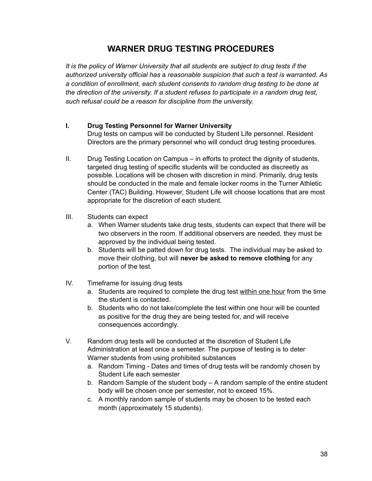### **WARNER DRUG TESTING PROCEDURES**

*It is the policy of Warner University that all students are subject to drug tests if the authorized university official has* a *reasonable suspicion that such* a *test is warranted. As a condition of enrollment, each student consents to random drug testing to be done at the direction of the university. If a student refuses to participate in a random drug test, such refusal could be a reason for discipline from the university.* 

#### **I. Drug Testing Personnel for Warner University**

Drug tests on campus will be conducted by Student Life personnel. Resident Directors are the primary personnel who will conduct drug testing procedures.

- II. Drug Testing Location on Campus in efforts to protect the dignity of students, targeted drug testing of specific students will be conducted as discreetly as possible. Locations will be chosen with discretion in mind. Primarily, drug tests should be conducted in the male and female locker rooms in the Turner Athletic Center (TAC) Building. However, Student Life will choose locations that are most appropriate for the discretion of each student.
- III. Students can expect
	- a. When Warner students take drug tests, students can expect that there will be two observers in the room. If additional observers are needed, they must be approved by the individual being tested.
	- b. Students will be patted down for drug tests. The individual may be asked to move their clothing, but will **never be asked to remove clothing** for any portion of the test.
- IV. Timeframe for issuing drug tests
	- a. Students are required to complete the drug test within one hour from the time the student is contacted.
	- b. Students who do not take/complete the test within one hour will be counted as positive for the drug they are being tested for, and will receive consequences accordingly.
- V. Random drug tests will be conducted at the discretion of Student Life Administration at least once a semester. The purpose of testing is to deter Warner students from using prohibited substances
	- a. Random Timing Dates and times of drug tests will be randomly chosen by Student Life each semester
	- b. Random Sample of the student body A random sample of the entire student body will be chosen once per semester, not to exceed 15%.
	- c. A monthly random sample of students may be chosen to be tested each month (approximately 15 students).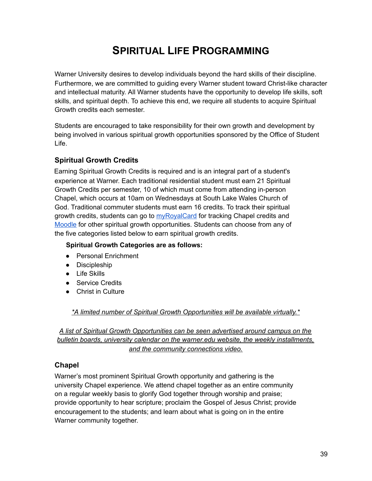### **SPIRITUAL LIFE PROGRAMMING**

Warner University desires to develop individuals beyond the hard skills of their discipline. Furthermore, we are committed to guiding every Warner student toward Christ-like character and intellectual maturity. All Warner students have the opportunity to develop life skills, soft skills, and spiritual depth. To achieve this end, we require all students to acquire Spiritual Growth credits each semester.

Students are encouraged to take responsibility for their own growth and development by being involved in various spiritual growth opportunities sponsored by the Office of Student Life.

#### **Spiritual Growth Credits**

Earning Spiritual Growth Credits is required and is an integral part of a student's experience at Warner. Each traditional residential student must earn 21 Spiritual Growth Credits per semester, 10 of which must come from attending in-person Chapel, which occurs at 10am on Wednesdays at South Lake Wales Church of God. Traditional commuter students must earn 16 credits. To track their spiritual growth credits, students can go to [myRoyalCard](https://services.jsatech.com/index.php?cid=73&wason=/photoupload.php&cid=73) for tracking Chapel credits and [Moodle](https://online.warner.edu/login/index.php) for other spiritual growth opportunities. Students can choose from any of the five categories listed below to earn spiritual growth credits.

#### **Spiritual Growth Categories are as follows:**

- Personal Enrichment
- Discipleship
- Life Skills
- Service Credits
- Christ in Culture

*\*A limited number of Spiritual Growth Opportunities will be available virtually.\** 

*A list of Spiritual Growth Opportunities can be seen advertised around campus on the bulletin boards, university calendar on the warner.edu website, the weekly installments, and the community connections video.* 

#### **Chapel**

Warner's most prominent Spiritual Growth opportunity and gathering is the university Chapel experience. We attend chapel together as an entire community on a regular weekly basis to glorify God together through worship and praise; provide opportunity to hear scripture; proclaim the Gospel of Jesus Christ; provide encouragement to the students; and learn about what is going on in the entire Warner community together.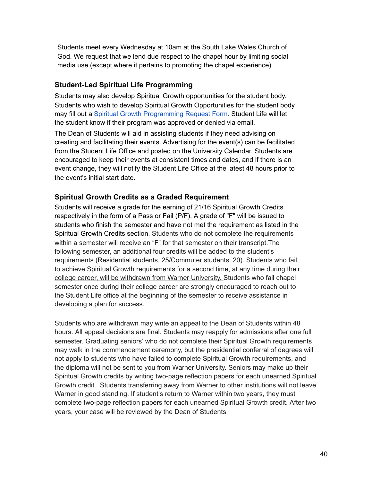Students meet every Wednesday at 10am at the South Lake Wales Church of God. We request that we lend due respect to the chapel hour by limiting social media use (except where it pertains to promoting the chapel experience).

#### **Student-Led Spiritual Life Programming**

Students may also develop Spiritual Growth opportunities for the student body. Students who wish to develop Spiritual Growth Opportunities for the student body may fill out a [Spiritual Growth Programming Request Form .](https://www.jotform.com/warner6/SG-Program-Request) Student Life will let the student know if their program was approved or denied via email.

The Dean of Students will aid in assisting students if they need advising on creating and facilitating their events. Advertising for the event(s) can be facilitated from the Student Life Office and posted on the University Calendar. Students are encouraged to keep their events at consistent times and dates, and if there is an event change, they will notify the Student Life Office at the latest 48 hours prior to the event's initial start date.

#### **Spiritual Growth Credits as a Graded Requirement**

Students will receive a grade for the earning of 21/16 Spiritual Growth Credits respectively in the form of a Pass or Fail (P/F). A grade of "F" will be issued to students who finish the semester and have not met the requirement as listed in the Spiritual Growth Credits section. Students who do not complete the requirements within a semester will receive an "F" for that semester on their transcript.The following semester, an additional four credits will be added to the student's requirements (Residential students, 25/Commuter students, 20). Students who fail to achieve Spiritual Growth requirements for a second time, at any time during their college career, will be withdrawn from Warner University. Students who fail chapel semester once during their college career are strongly encouraged to reach out to the Student Life office at the beginning of the semester to receive assistance in developing a plan for success.

Students who are withdrawn may write an appeal to the Dean of Students within 48 hours. All appeal decisions are final. Students may reapply for admissions after one full semester. Graduating seniors' who do not complete their Spiritual Growth requirements may walk in the commencement ceremony, but the presidential conferral of degrees will not apply to students who have failed to complete Spiritual Growth requirements, and the diploma will not be sent to you from Warner University. Seniors may make up their Spiritual Growth credits by writing two-page reflection papers for each unearned Spiritual Growth credit. Students transferring away from Warner to other institutions will not leave Warner in good standing. If student's return to Warner within two years, they must complete two-page reflection papers for each unearned Spiritual Growth credit. After two years, your case will be reviewed by the Dean of Students.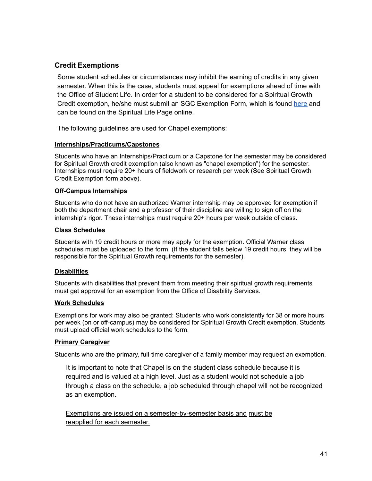#### **Credit Exemptions**

Some student schedules or circumstances may inhibit the earning of credits in any given semester. When this is the case, students must appeal for exemptions ahead of time with the Office of Student Life. In order for a student to be considered for a Spiritual Growth Credit exemption, he/she must submit an SGC Exemption Form, which is found [here](https://www.jotform.com/warner6/chapel-exemption-application) and can be found on the Spiritual Life Page online.

The following guidelines are used for Chapel exemptions:

#### **Internships/Practicums/Capstones**

Students who have an Internships/Practicum or a Capstone for the semester may be considered for Spiritual Growth credit exemption (also known as "chapel exemption") for the semester. Internships must require 20+ hours of fieldwork or research per week (See Spiritual Growth Credit Exemption form above).

#### **Off-Campus Internships**

Students who do not have an authorized Warner internship may be approved for exemption if both the department chair and a professor of their discipline are willing to sign off on the internship's rigor. These internships must require 20+ hours per week outside of class.

#### **Class Schedules**

Students with 19 credit hours or more may apply for the exemption. Official Warner class schedules must be uploaded to the form. (If the student falls below 19 credit hours, they will be responsible for the Spiritual Growth requirements for the semester).

#### **Disabilities**

Students with disabilities that prevent them from meeting their spiritual growth requirements must get approval for an exemption from the Office of Disability Services.

#### **Work Schedules**

Exemptions for work may also be granted: Students who work consistently for 38 or more hours per week (on or off-campus) may be considered for Spiritual Growth Credit exemption. Students must upload official work schedules to the form.

#### **Primary Caregiver**

Students who are the primary, full-time caregiver of a family member may request an exemption.

It is important to note that Chapel is on the student class schedule because it is required and is valued at a high level. Just as a student would not schedule a job through a class on the schedule, a job scheduled through chapel will not be recognized as an exemption.

Exemptions are issued on a semester-by-semester basis and must be reapplied for each semester.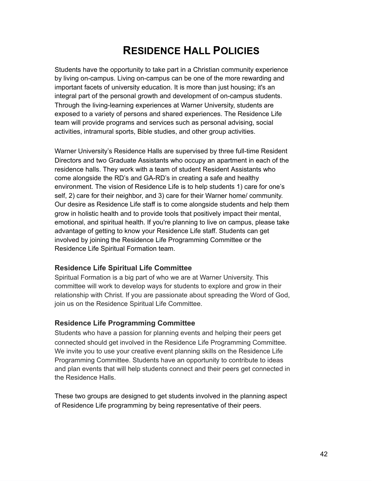### **RESIDENCE HALL POLICIES**

Students have the opportunity to take part in a Christian community experience by living on-campus. Living on-campus can be one of the more rewarding and important facets of university education. It is more than just housing; it's an integral part of the personal growth and development of on-campus students. Through the living-learning experiences at Warner University, students are exposed to a variety of persons and shared experiences. The Residence Life team will provide programs and services such as personal advising, social activities, intramural sports, Bible studies, and other group activities.

Warner University's Residence Halls are supervised by three full-time Resident Directors and two Graduate Assistants who occupy an apartment in each of the residence halls. They work with a team of student Resident Assistants who come alongside the RD's and GA-RD's in creating a safe and healthy environment. The vision of Residence Life is to help students 1) care for one's self, 2) care for their neighbor, and 3) care for their Warner home/ community. Our desire as Residence Life staff is to come alongside students and help them grow in holistic health and to provide tools that positively impact their mental, emotional, and spiritual health. If you're planning to live on campus, please take advantage of getting to know your Residence Life staff. Students can get involved by joining the Residence Life Programming Committee or the Residence Life Spiritual Formation team.

#### **Residence Life Spiritual Life Committee**

Spiritual Formation is a big part of who we are at Warner University. This committee will work to develop ways for students to explore and grow in their relationship with Christ. If you are passionate about spreading the Word of God, join us on the Residence Spiritual Life Committee.

#### **Residence Life Programming Committee**

Students who have a passion for planning events and helping their peers get connected should get involved in the Residence Life Programming Committee. We invite you to use your creative event planning skills on the Residence Life Programming Committee. Students have an opportunity to contribute to ideas and plan events that will help students connect and their peers get connected in the Residence Halls.

These two groups are designed to get students involved in the planning aspect of Residence Life programming by being representative of their peers.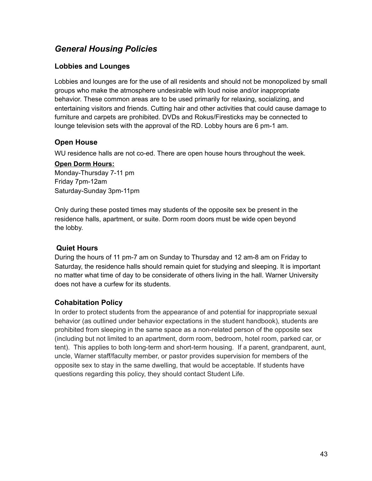### *General Housing Policies*

#### **Lobbies and Lounges**

Lobbies and lounges are for the use of all residents and should not be monopolized by small groups who make the atmosphere undesirable with loud noise and/or inappropriate behavior. These common areas are to be used primarily for relaxing, socializing, and entertaining visitors and friends. Cutting hair and other activities that could cause damage to furniture and carpets are prohibited. DVDs and Rokus/Firesticks may be connected to lounge television sets with the approval of the RD. Lobby hours are 6 pm-1 am.

#### **Open House**

WU residence halls are not co-ed. There are open house hours throughout the week.

#### **Open Dorm Hours:**

Monday-Thursday 7-11 pm Friday 7pm-12am Saturday-Sunday 3pm-11pm

Only during these posted times may students of the opposite sex be present in the residence halls, apartment, or suite. Dorm room doors must be wide open beyond the lobby.

#### **Quiet Hours**

During the hours of 11 pm-7 am on Sunday to Thursday and 12 am-8 am on Friday to Saturday, the residence halls should remain quiet for studying and sleeping. It is important no matter what time of day to be considerate of others living in the hall. Warner University does not have a curfew for its students.

#### **Cohabitation Policy**

In order to protect students from the appearance of and potential for inappropriate sexual behavior (as outlined under behavior expectations in the student handbook), students are prohibited from sleeping in the same space as a non-related person of the opposite sex (including but not limited to an apartment, dorm room, bedroom, hotel room, parked car, or tent). This applies to both long-term and short-term housing. If a parent, grandparent, aunt, uncle, Warner staff/faculty member, or pastor provides supervision for members of the opposite sex to stay in the same dwelling, that would be acceptable. If students have questions regarding this policy, they should contact Student Life.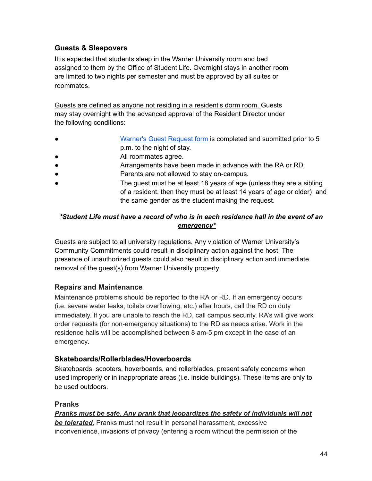#### **Guests & Sleepovers**

It is expected that students sleep in the Warner University room and bed assigned to them by the Office of Student Life. Overnight stays in another room are limited to two nights per semester and must be approved by all suites or roommates.

Guests are defined as anyone not residing in a resident's dorm room. Guests may stay overnight with the advanced approval of the Resident Director under the following conditions:

- [Warner's Guest Request form](https://www.jotform.com/warner6/guest-request) is completed and submitted prior to 5 p.m. to the night of stay.
- All roommates agree.
- Arrangements have been made in advance with the RA or RD.
- Parents are not allowed to stay on-campus.
- The guest must be at least 18 years of age (unless they are a sibling of a resident, then they must be at least 14 years of age or older) and the same gender as the student making the request.

#### *\*Student Life must have a record of who is in each residence hall in the event of an emergency\**

Guests are subject to all university regulations. Any violation of Warner University's Community Commitments could result in disciplinary action against the host. The presence of unauthorized guests could also result in disciplinary action and immediate removal of the guest(s) from Warner University property.

#### **Repairs and Maintenance**

Maintenance problems should be reported to the RA or RD. If an emergency occurs (i.e. severe water leaks, toilets overflowing, etc.) after hours, call the RD on duty immediately. If you are unable to reach the RD, call campus security. RA's will give work order requests (for non-emergency situations) to the RD as needs arise. Work in the residence halls will be accomplished between 8 am-5 pm except in the case of an emergency.

#### **Skateboards/Rollerblades/Hoverboards**

Skateboards, scooters, hoverboards, and rollerblades, present safety concerns when used improperly or in inappropriate areas (i.e. inside buildings). These items are only to be used outdoors.

#### **Pranks**

#### *Pranks must be safe. Any prank that jeopardizes the safety of individuals will not*

*be tolerated.* Pranks must not result in personal harassment, excessive inconvenience, invasions of privacy (entering a room without the permission of the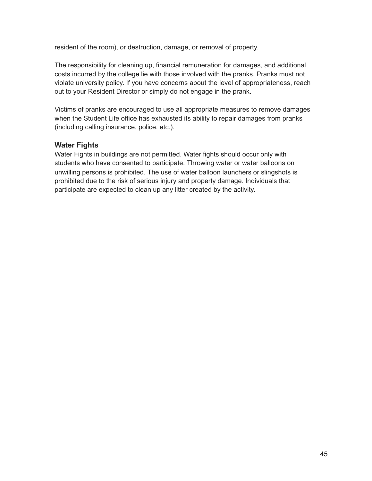resident of the room), or destruction, damage, or removal of property.

The responsibility for cleaning up, financial remuneration for damages, and additional costs incurred by the college lie with those involved with the pranks. Pranks must not violate university policy. If you have concerns about the level of appropriateness, reach out to your Resident Director or simply do not engage in the prank.

Victims of pranks are encouraged to use all appropriate measures to remove damages when the Student Life office has exhausted its ability to repair damages from pranks (including calling insurance, police, etc.).

#### **Water Fights**

Water Fights in buildings are not permitted. Water fights should occur only with students who have consented to participate. Throwing water or water balloons on unwilling persons is prohibited. The use of water balloon launchers or slingshots is prohibited due to the risk of serious injury and property damage. Individuals that participate are expected to clean up any litter created by the activity.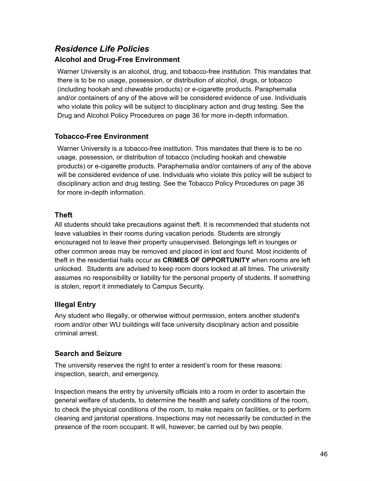### *Residence Life Policies*  **Alcohol and Drug-Free Environment**

Warner University is an alcohol, drug, and tobacco-free institution. This mandates that there is to be no usage, possession, or distribution of alcohol, drugs, or tobacco (including hookah and chewable products) or e-cigarette products. Paraphernalia and/or containers of any of the above will be considered evidence of use. Individuals who violate this policy will be subject to disciplinary action and drug testing. See the Drug and Alcohol Policy Procedures on page 36 for more in-depth information.

#### **Tobacco-Free Environment**

Warner University is a tobacco-free institution. This mandates that there is to be no usage, possession, or distribution of tobacco (including hookah and chewable products) or e-cigarette products. Paraphernalia and/or containers of any of the above will be considered evidence of use. Individuals who violate this policy will be subject to disciplinary action and drug testing. See the Tobacco Policy Procedures on page 36 for more in-depth information.

#### **Theft**

All students should take precautions against theft. It is recommended that students not leave valuables in their rooms during vacation periods. Students are strongly encouraged not to leave their property unsupervised. Belongings left in lounges or other common areas may be removed and placed in lost and found. Most incidents of theft in the residential halls occur as **CRIMES OF OPPORTUNITY** when rooms are left unlocked. Students are advised to keep room doors locked at all times. The university assumes no responsibility or liability for the personal property of students. If something is stolen, report it immediately to Campus Security.

#### **Illegal Entry**

Any student who illegally, or otherwise without permission, enters another student's room and/or other WU buildings will face university disciplinary action and possible criminal arrest.

#### **Search and Seizure**

The university reserves the right to enter a resident's room for these reasons: inspection, search, and emergency.

Inspection means the entry by university officials into a room in order to ascertain the general welfare of students, to determine the health and safety conditions of the room, to check the physical conditions of the room, to make repairs on facilities, or to perform cleaning and janitorial operations. Inspections may not necessarily be conducted in the presence of the room occupant. It will, however, be carried out by two people.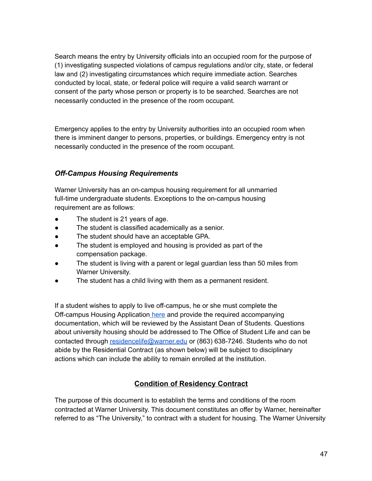Search means the entry by University officials into an occupied room for the purpose of (1) investigating suspected violations of campus regulations and/or city, state, or federal law and (2) investigating circumstances which require immediate action. Searches conducted by local, state, or federal police will require a valid search warrant or consent of the party whose person or property is to be searched. Searches are not necessarily conducted in the presence of the room occupant.

Emergency applies to the entry by University authorities into an occupied room when there is imminent danger to persons, properties, or buildings. Emergency entry is not necessarily conducted in the presence of the room occupant.

#### *Off-Campus Housing Requirements*

Warner University has an on-campus housing requirement for all unmarried full-time undergraduate students. Exceptions to the on-campus housing requirement are as follows:

- The student is 21 years of age.
- The student is classified academically as a senior.
- The student should have an acceptable GPA.
- The student is employed and housing is provided as part of the compensation package.
- The student is living with a parent or legal guardian less than 50 miles from Warner University.
- The student has a child living with them as a permanent resident.

If a student wishes to apply to live off-campus, he or she must complete the Off-campus Housing Application [here](https://form.jotform.com/202055515966154) and provide the required accompanying documentation, which will be reviewed by the Assistant Dean of Students. Questions about university housing should be addressed to The Office of Student Life and can be contacted through [residencelife@warner.edu](mailto:residencelife@warner.edu) or (863) 638-7246. Students who do not abide by the Residential Contract (as shown below) will be subject to disciplinary actions which can include the ability to remain enrolled at the institution.

#### **Condition of Residency Contract**

The purpose of this document is to establish the terms and conditions of the room contracted at Warner University. This document constitutes an offer by Warner, hereinafter referred to as "The University," to contract with a student for housing. The Warner University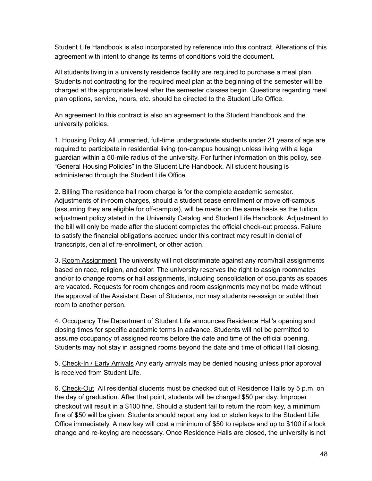Student Life Handbook is also incorporated by reference into this contract. Alterations of this agreement with intent to change its terms of conditions void the document.

All students living in a university residence facility are required to purchase a meal plan. Students not contracting for the required meal plan at the beginning of the semester will be charged at the appropriate level after the semester classes begin. Questions regarding meal plan options, service, hours, etc. should be directed to the Student Life Office.

An agreement to this contract is also an agreement to the Student Handbook and the university policies.

1. Housing Policy All unmarried, full-time undergraduate students under 21 years of age are required to participate in residential living (on-campus housing) unless living with a legal guardian within a 50-mile radius of the university. For further information on this policy, see "General Housing Policies" in the Student Life Handbook. All student housing is administered through the Student Life Office.

2. Billing The residence hall room charge is for the complete academic semester. Adjustments of in-room charges, should a student cease enrollment or move off-campus (assuming they are eligible for off-campus), will be made on the same basis as the tuition adjustment policy stated in the University Catalog and Student Life Handbook. Adjustment to the bill will only be made after the student completes the official check-out process. Failure to satisfy the financial obligations accrued under this contract may result in denial of transcripts, denial of re-enrollment, or other action.

3. Room Assignment The university will not discriminate against any room/hall assignments based on race, religion, and color. The university reserves the right to assign roommates and/or to change rooms or hall assignments, including consolidation of occupants as spaces are vacated. Requests for room changes and room assignments may not be made without the approval of the Assistant Dean of Students, nor may students re-assign or sublet their room to another person.

4. Occupancy The Department of Student Life announces Residence Hall's opening and closing times for specific academic terms in advance. Students will not be permitted to assume occupancy of assigned rooms before the date and time of the official opening. Students may not stay in assigned rooms beyond the date and time of official Hall closing.

5. Check-In / Early Arrivals Any early arrivals may be denied housing unless prior approval is received from Student Life.

6. Check-Out All residential students must be checked out of Residence Halls by 5 p.m. on the day of graduation. After that point, students will be charged \$50 per day. Improper checkout will result in a \$100 fine. Should a student fail to return the room key, a minimum fine of \$50 will be given. Students should report any lost or stolen keys to the Student Life Office immediately. A new key will cost a minimum of \$50 to replace and up to \$100 if a lock change and re-keying are necessary. Once Residence Halls are closed, the university is not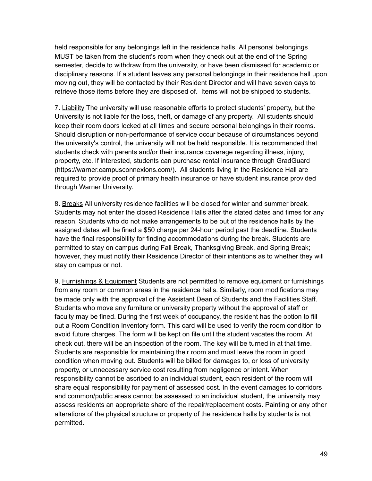held responsible for any belongings left in the residence halls. All personal belongings MUST be taken from the student's room when they check out at the end of the Spring semester, decide to withdraw from the university, or have been dismissed for academic or disciplinary reasons. If a student leaves any personal belongings in their residence hall upon moving out, they will be contacted by their Resident Director and will have seven days to retrieve those items before they are disposed of. Items will not be shipped to students.

7. Liability The university will use reasonable efforts to protect students' property, but the University is not liable for the loss, theft, or damage of any property. All students should keep their room doors locked at all times and secure personal belongings in their rooms. Should disruption or non-performance of service occur because of circumstances beyond the university's control, the university will not be held responsible. It is recommended that students check with parents and/or their insurance coverage regarding illness, injury, property, etc. If interested, students can purchase rental insurance through GradGuard (https://warner.campusconnexions.com/). All students living in the Residence Hall are required to provide proof of primary health insurance or have student insurance provided through Warner University.

8. Breaks All university residence facilities will be closed for winter and summer break. Students may not enter the closed Residence Halls after the stated dates and times for any reason. Students who do not make arrangements to be out of the residence halls by the assigned dates will be fined a \$50 charge per 24-hour period past the deadline. Students have the final responsibility for finding accommodations during the break. Students are permitted to stay on campus during Fall Break, Thanksgiving Break, and Spring Break; however, they must notify their Residence Director of their intentions as to whether they will stay on campus or not.

9. Furnishings & Equipment Students are not permitted to remove equipment or furnishings from any room or common areas in the residence halls. Similarly, room modifications may be made only with the approval of the Assistant Dean of Students and the Facilities Staff. Students who move any furniture or university property without the approval of staff or faculty may be fined. During the first week of occupancy, the resident has the option to fill out a Room Condition Inventory form. This card will be used to verify the room condition to avoid future charges. The form will be kept on file until the student vacates the room. At check out, there will be an inspection of the room. The key will be turned in at that time. Students are responsible for maintaining their room and must leave the room in good condition when moving out. Students will be billed for damages to, or loss of university property, or unnecessary service cost resulting from negligence or intent. When responsibility cannot be ascribed to an individual student, each resident of the room will share equal responsibility for payment of assessed cost. In the event damages to corridors and common/public areas cannot be assessed to an individual student, the university may assess residents an appropriate share of the repair/replacement costs. Painting or any other alterations of the physical structure or property of the residence halls by students is not permitted.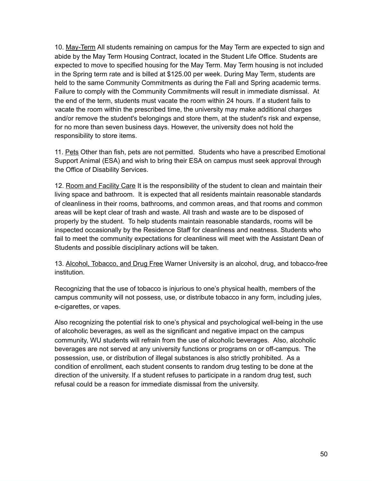10. May-Term All students remaining on campus for the May Term are expected to sign and abide by the May Term Housing Contract, located in the Student Life Office. Students are expected to move to specified housing for the May Term. May Term housing is not included in the Spring term rate and is billed at \$125.00 per week. During May Term, students are held to the same Community Commitments as during the Fall and Spring academic terms. Failure to comply with the Community Commitments will result in immediate dismissal. At the end of the term, students must vacate the room within 24 hours. If a student fails to vacate the room within the prescribed time, the university may make additional charges and/or remove the student's belongings and store them, at the student's risk and expense, for no more than seven business days. However, the university does not hold the responsibility to store items.

11. Pets Other than fish, pets are not permitted. Students who have a prescribed Emotional Support Animal (ESA) and wish to bring their ESA on campus must seek approval through the Office of Disability Services.

12. Room and Facility Care It is the responsibility of the student to clean and maintain their living space and bathroom. It is expected that all residents maintain reasonable standards of cleanliness in their rooms, bathrooms, and common areas, and that rooms and common areas will be kept clear of trash and waste. All trash and waste are to be disposed of properly by the student. To help students maintain reasonable standards, rooms will be inspected occasionally by the Residence Staff for cleanliness and neatness. Students who fail to meet the community expectations for cleanliness will meet with the Assistant Dean of Students and possible disciplinary actions will be taken.

13. Alcohol, Tobacco, and Drug Free Warner University is an alcohol, drug, and tobacco-free institution.

Recognizing that the use of tobacco is injurious to one's physical health, members of the campus community will not possess, use, or distribute tobacco in any form, including jules, e-cigarettes, or vapes.

Also recognizing the potential risk to one's physical and psychological well-being in the use of alcoholic beverages, as well as the significant and negative impact on the campus community, WU students will refrain from the use of alcoholic beverages. Also, alcoholic beverages are not served at any university functions or programs on or off-campus. The possession, use, or distribution of illegal substances is also strictly prohibited. As a condition of enrollment, each student consents to random drug testing to be done at the direction of the university. If a student refuses to participate in a random drug test, such refusal could be a reason for immediate dismissal from the university.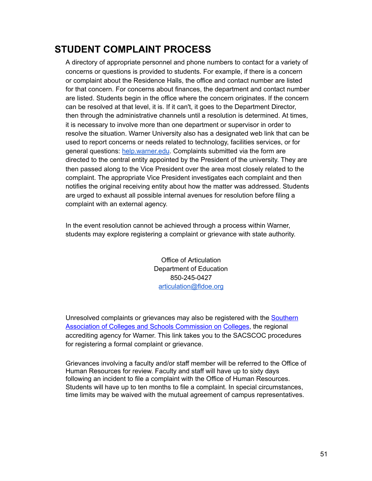### **STUDENT COMPLAINT PROCESS**

A directory of appropriate personnel and phone numbers to contact for a variety of concerns or questions is provided to students. For example, if there is a concern or complaint about the Residence Halls, the office and contact number are listed for that concern. For concerns about finances, the department and contact number are listed. Students begin in the office where the concern originates. If the concern can be resolved at that level, it is. If it can't, it goes to the Department Director, then through the administrative channels until a resolution is determined. At times, it is necessary to involve more than one department or supervisor in order to resolve the situation. Warner University also has a designated web link that can be used to report concerns or needs related to technology, facilities services, or for general questions: [help.warner.edu](http://help.warner.edu/). Complaints submitted via the form are directed to the central entity appointed by the President of the university. They are then passed along to the Vice President over the area most closely related to the complaint. The appropriate Vice President investigates each complaint and then notifies the original receiving entity about how the matter was addressed. Students are urged to exhaust all possible internal avenues for resolution before filing a complaint with an external agency.

In the event resolution cannot be achieved through a process within Warner, students may explore registering a complaint or grievance with state authority.

> Office of Articulation Department of Education 850-245-0427 [articulation@fldoe.org](mailto:articulation@fldoe.org)

Unresolved complaints or grievances may also be registered with th[e Southern](http://www.sacscoc.org/pdf/081705/complaintpolicy.pdf)  [Association of Colleges and Schools Commission on Colleges](http://www.sacscoc.org/pdf/081705/complaintpolicy.pdf), the regional accrediting agency for Warner. This link takes you to the SACSCOC procedures for registering a formal complaint or grievance.

Grievances involving a faculty and/or staff member will be referred to the Office of Human Resources for review. Faculty and staff will have up to sixty days following an incident to file a complaint with the Office of Human Resources. Students will have up to ten months to file a complaint. In special circumstances, time limits may be waived with the mutual agreement of campus representatives.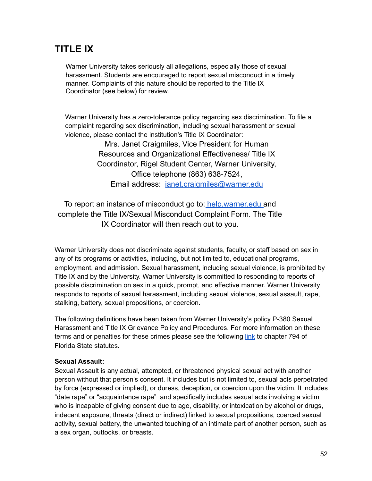### **TITLE IX**

Warner University takes seriously all allegations, especially those of sexual harassment. Students are encouraged to report sexual misconduct in a timely manner. Complaints of this nature should be reported to the Title IX Coordinator (see below) for review.

Warner University has a zero-tolerance policy regarding sex discrimination. To file a complaint regarding sex discrimination, including sexual harassment or sexual violence, please contact the institution's Title IX Coordinator:

> Mrs. Janet Craigmiles, Vice President for Human Resources and Organizational Effectiveness/ Title IX Coordinator, Rigel Student Center, Warner University, Office telephone (863) 638-7524, Email address: [janet.craigmiles@warner.edu](mailto:janet.craigmiles@warner.edu)

To report an instance of misconduct go to: [help.warner.edu a](http://help.warner.edu/)nd complete the Title IX/Sexual Misconduct Complaint Form. The Title IX Coordinator will then reach out to you.

Warner University does not discriminate against students, faculty, or staff based on sex in any of its programs or activities, including, but not limited to, educational programs, employment, and admission. Sexual harassment, including sexual violence, is prohibited by Title IX and by the University. Warner University is committed to responding to reports of possible discrimination on sex in a quick, prompt, and effective manner. Warner University responds to reports of sexual harassment, including sexual violence, sexual assault, rape, stalking, battery, sexual propositions, or coercion.

The following definitions have been taken from Warner University's policy P-380 Sexual Harassment and Title IX Grievance Policy and Procedures. For more information on these terms and or penalties for these crimes please see the following [link](http://www.leg.state.fl.us/statutes/index.cfm?App_mode=Display_Statute&URL=0700-0799/0794/0794.html) to chapter 794 of Florida State statutes.

#### **Sexual Assault:**

Sexual Assault is any actual, attempted, or threatened physical sexual act with another person without that person's consent. It includes but is not limited to, sexual acts perpetrated by force (expressed or implied), or duress, deception, or coercion upon the victim. It includes "date rape" or "acquaintance rape" and specifically includes sexual acts involving a victim who is incapable of giving consent due to age, disability, or intoxication by alcohol or drugs, indecent exposure, threats (direct or indirect) linked to sexual propositions, coerced sexual activity, sexual battery, the unwanted touching of an intimate part of another person, such as a sex organ, buttocks, or breasts.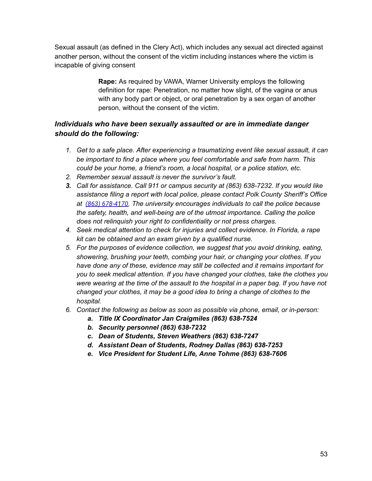Sexual assault (as defined in the Clery Act), which includes any sexual act directed against another person, without the consent of the victim including instances where the victim is incapable of giving consent

> **Rape:** As required by VAWA, Warner University employs the following definition for rape: Penetration, no matter how slight, of the vagina or anus with any body part or object, or oral penetration by a sex organ of another person, without the consent of the victim.

#### *Individuals who have been sexually assaulted or are in immediate danger should do the following:*

- *1. Get to a safe place. After experiencing a traumatizing event like sexual assault, it can be important to find a place where you feel comfortable and safe from harm. This could be your home, a friend's room, a local hospital, or a police station, etc.*
- *2. Remember sexual assault is never the survivor's fault.*
- *3. Call for assistance. Call 911 or campus security at (863) 638-7232. If you would like assistance filing a report with local police, please contact Polk County Sheriff's Office at [\(863\) 678-4 1](https://www.google.com/search?gs_ssp=eJwFwU0OQDAQBtDYcgWLbqyN_0mP4BIyfENE0dDg-N6Lk3zJi4Bn8FdHkc3oYwaIwRM1Wms7WvpQQGTuwFyXoGruUyebmlec3safbp3UQL1cYdcj_AdWGnQ&q=lake+wales+police+department&rlz=1C1GCEV_enUS935US935&oq=lake+wales+po&aqs=chrome.1.0i355j46i175i199l2j0l5j46i175i199l2.4591j0j7&sourceid=chrome&ie=UTF-8#) 70 . The university encourages individuals to call the police because the safety, health, and well-being are of the utmost importance. Calling the police does not relinquish your right to confidentiality or not press charges.*
- *4. Seek medical attention to check for injuries and collect evidence. In Florida, a rape kit can be obtained and an exam given by a qualified nurse.*
- *5. For the purposes of evidence collection, we suggest that you avoid drinking, eating, showering, brushing your teeth, combing your hair, or changing your clothes. If you have done any of these, evidence may still be collected and it remains important for you to seek medical attention. If you have changed your clothes, take the clothes you were wearing at the time of the assault to the hospital in a paper bag. If you have not changed your clothes, it may be a good idea to bring a change of clothes to the hospital.*
- *6. Contact the following as below as soon as possible via phone, email, or in-person:* 
	- *a. Title IX Coordinator Jan Craigmiles (863) 638-7524*
	- *b. Security personnel (863) 638-7232*
	- *c. Dean of Students, Steven Weathers (863) 638-7247*
	- *d. Assistant Dean of Students, Rodney Dallas (863) 638-7253*
	- *e. Vice President for Student Life, Anne Tohme (863) 638-7606*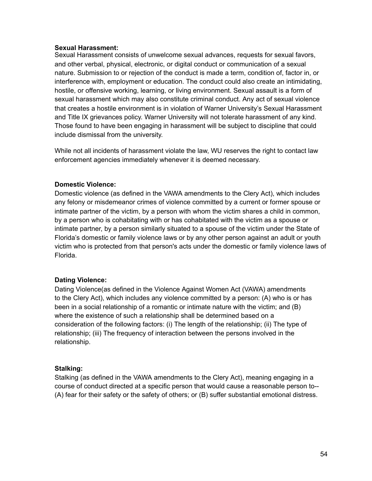#### **Sexual Harassment:**

Sexual Harassment consists of unwelcome sexual advances, requests for sexual favors, and other verbal, physical, electronic, or digital conduct or communication of a sexual nature. Submission to or rejection of the conduct is made a term, condition of, factor in, or interference with, employment or education. The conduct could also create an intimidating, hostile, or offensive working, learning, or living environment. Sexual assault is a form of sexual harassment which may also constitute criminal conduct. Any act of sexual violence that creates a hostile environment is in violation of Warner University's Sexual Harassment and Title IX grievances policy. Warner University will not tolerate harassment of any kind. Those found to have been engaging in harassment will be subject to discipline that could include dismissal from the university.

While not all incidents of harassment violate the law, WU reserves the right to contact law enforcement agencies immediately whenever it is deemed necessary.

#### **Domestic Violence:**

Domestic violence (as defined in the VAWA amendments to the Clery Act), which includes any felony or misdemeanor crimes of violence committed by a current or former spouse or intimate partner of the victim, by a person with whom the victim shares a child in common, by a person who is cohabitating with or has cohabitated with the victim as a spouse or intimate partner, by a person similarly situated to a spouse of the victim under the State of Florida's domestic or family violence laws or by any other person against an adult or youth victim who is protected from that person's acts under the domestic or family violence laws of Florida.

#### **Dating Violence:**

Dating Violence(as defined in the Violence Against Women Act (VAWA) amendments to the Clery Act), which includes any violence committed by a person: (A) who is or has been in a social relationship of a romantic or intimate nature with the victim; and (B) where the existence of such a relationship shall be determined based on a consideration of the following factors: (i) The length of the relationship; (ii) The type of relationship; (iii) The frequency of interaction between the persons involved in the relationship.

#### **Stalking:**

Stalking (as defined in the VAWA amendments to the Clery Act), meaning engaging in a course of conduct directed at a specific person that would cause a reasonable person to-- (A) fear for their safety or the safety of others; or (B) suffer substantial emotional distress.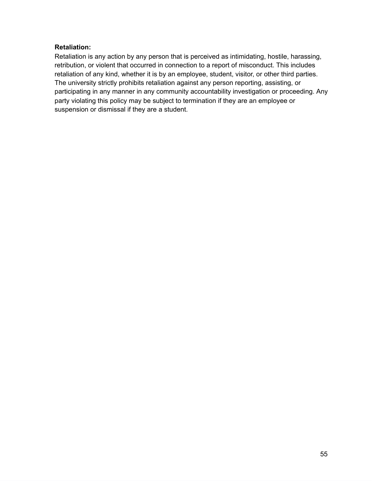#### **Retaliation:**

Retaliation is any action by any person that is perceived as intimidating, hostile, harassing, retribution, or violent that occurred in connection to a report of misconduct. This includes retaliation of any kind, whether it is by an employee, student, visitor, or other third parties. The university strictly prohibits retaliation against any person reporting, assisting, or participating in any manner in any community accountability investigation or proceeding. Any party violating this policy may be subject to termination if they are an employee or suspension or dismissal if they are a student.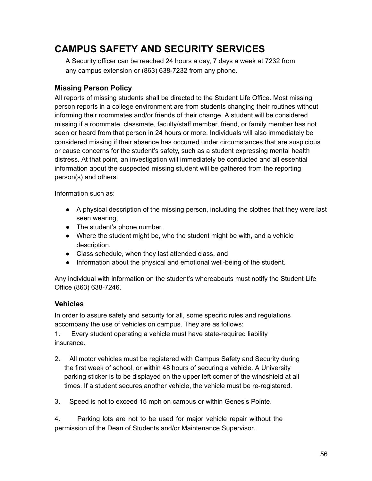### **CAMPUS SAFETY AND SECURITY SERVICES**

A Security officer can be reached 24 hours a day, 7 days a week at 7232 from any campus extension or (863) 638-7232 from any phone.

#### **Missing Person Policy**

All reports of missing students shall be directed to the Student Life Office. Most missing person reports in a college environment are from students changing their routines without informing their roommates and/or friends of their change. A student will be considered missing if a roommate, classmate, faculty/staff member, friend, or family member has not seen or heard from that person in 24 hours or more. Individuals will also immediately be considered missing if their absence has occurred under circumstances that are suspicious or cause concerns for the student's safety, such as a student expressing mental health distress. At that point, an investigation will immediately be conducted and all essential information about the suspected missing student will be gathered from the reporting person(s) and others.

Information such as:

- A physical description of the missing person, including the clothes that they were last seen wearing,
- The student's phone number,
- Where the student might be, who the student might be with, and a vehicle description,
- Class schedule, when they last attended class, and
- Information about the physical and emotional well-being of the student.

Any individual with information on the student's whereabouts must notify the Student Life Office (863) 638-7246.

#### **Vehicles**

In order to assure safety and security for all, some specific rules and regulations accompany the use of vehicles on campus. They are as follows:

1. Every student operating a vehicle must have state-required liability insurance.

- 2. All motor vehicles must be registered with Campus Safety and Security during the first week of school, or within 48 hours of securing a vehicle. A University parking sticker is to be displayed on the upper left corner of the windshield at all times. If a student secures another vehicle, the vehicle must be re-registered.
- 3. Speed is not to exceed 15 mph on campus or within Genesis Pointe.

4. Parking lots are not to be used for major vehicle repair without the permission of the Dean of Students and/or Maintenance Supervisor.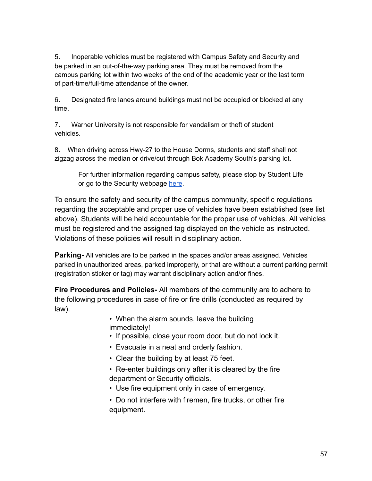5. Inoperable vehicles must be registered with Campus Safety and Security and be parked in an out-of-the-way parking area. They must be removed from the campus parking lot within two weeks of the end of the academic year or the last term of part-time/full-time attendance of the owner.

6. Designated fire lanes around buildings must not be occupied or blocked at any time.

7. Warner University is not responsible for vandalism or theft of student vehicles.

8. When driving across Hwy-27 to the House Dorms, students and staff shall not zigzag across the median or drive/cut through Bok Academy South's parking lot.

For further information regarding campus safety, please stop by Student Life or go to the Security webpage [here](https://warner.edu/student-portal/services/campus-safety/).

To ensure the safety and security of the campus community, specific regulations regarding the acceptable and proper use of vehicles have been established (see list above). Students will be held accountable for the proper use of vehicles. All vehicles must be registered and the assigned tag displayed on the vehicle as instructed. Violations of these policies will result in disciplinary action.

**Parking-** All vehicles are to be parked in the spaces and/or areas assigned. Vehicles parked in unauthorized areas, parked improperly, or that are without a current parking permit (registration sticker or tag) may warrant disciplinary action and/or fines.

**Fire Procedures and Policies-** All members of the community are to adhere to the following procedures in case of fire or fire drills (conducted as required by law).

> • When the alarm sounds, leave the building immediately!

- If possible, close your room door, but do not lock it.
- Evacuate in a neat and orderly fashion.
- Clear the building by at least 75 feet.
- Re-enter buildings only after it is cleared by the fire department or Security officials.
- Use fire equipment only in case of emergency.
- Do not interfere with firemen, fire trucks, or other fire equipment.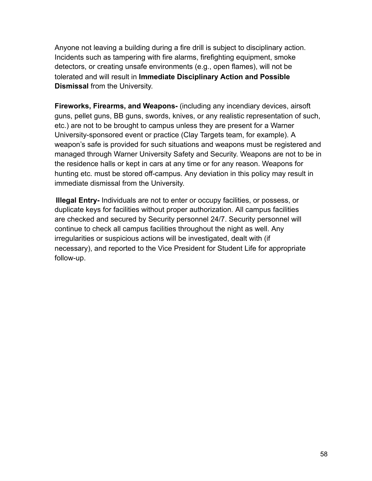Anyone not leaving a building during a fire drill is subject to disciplinary action. Incidents such as tampering with fire alarms, firefighting equipment, smoke detectors, or creating unsafe environments (e.g., open flames), will not be tolerated and will result in **Immediate Disciplinary Action and Possible Dismissal** from the University.

**Fireworks, Firearms, and Weapons-** (including any incendiary devices, airsoft guns, pellet guns, BB guns, swords, knives, or any realistic representation of such, etc.) are not to be brought to campus unless they are present for a Warner University-sponsored event or practice (Clay Targets team, for example). A weapon's safe is provided for such situations and weapons must be registered and managed through Warner University Safety and Security. Weapons are not to be in the residence halls or kept in cars at any time or for any reason. Weapons for hunting etc. must be stored off-campus. Any deviation in this policy may result in immediate dismissal from the University.

 **Illegal Entry-** Individuals are not to enter or occupy facilities, or possess, or duplicate keys for facilities without proper authorization. All campus facilities are checked and secured by Security personnel 24/7. Security personnel will continue to check all campus facilities throughout the night as well. Any irregularities or suspicious actions will be investigated, dealt with (if necessary), and reported to the Vice President for Student Life for appropriate follow-up.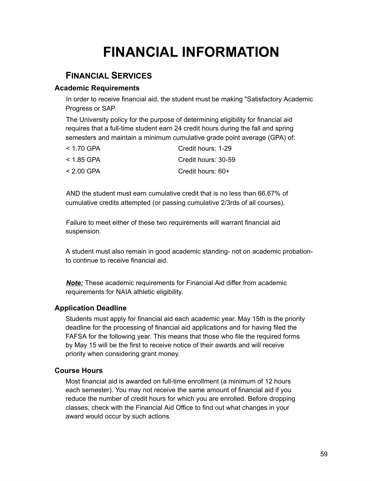## **FINANCIAL INFORMATION**

### **F INANCIAL S ERVICES**

#### **Academic Requirements**

In order to receive financial aid, the student must be making "Satisfactory Academic Progress or SAP.

The University policy for the purpose of determining eligibility for financial aid requires that a full-time student earn 24 credit hours during the fall and spring semesters and maintain a minimum cumulative grade point average (GPA) of:

| < 1.70 GPA | Credit hours: 1-29  |
|------------|---------------------|
| < 1.85 GPA | Credit hours: 30-59 |
| < 2.00 GPA | Credit hours: 60+   |

AND the student must earn cumulative credit that is no less than 66.67% of cumulative credits attempted (or passing cumulative 2/3rds of all courses).

Failure to meet either of these two requirements will warrant financial aid suspension.

A student must also remain in good academic standing- not on academic probationto continue to receive financial aid.

*Note:* These academic requirements for Financial Aid differ from academic requirements for NAIA athletic eligibility.

#### **Application Deadline**

Students must apply for financial aid each academic year. May 15th is the priority deadline for the processing of financial aid applications and for having filed the FAFSA for the following year. This means that those who file the required forms by May 15 will be the first to receive notice of their awards and will receive priority when considering grant money.

#### **Course Hours**

Most financial aid is awarded on full-time enrollment (a minimum of 12 hours each semester). You may not receive the same amount of financial aid if you reduce the number of credit hours for which you are enrolled. Before dropping classes, check with the Financial Aid Office to find out what changes in your award would occur by such actions.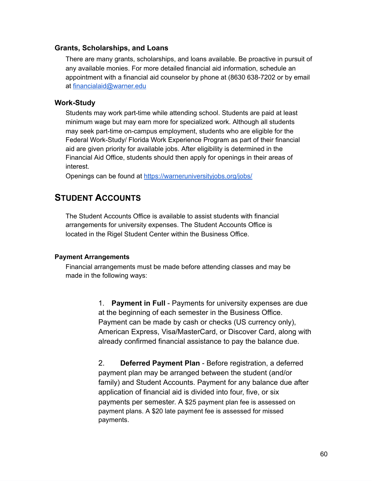#### **Grants, Scholarships, and Loans**

There are many grants, scholarships, and loans available. Be proactive in pursuit of any available monies. For more detailed financial aid information, schedule an appointment with a financial aid counselor by phone at (8630 638-7202 or by email at [financialaid@warner.edu](mailto:financialaid@warner.edu) 

#### **Work-Study**

Students may work part-time while attending school. Students are paid at least minimum wage but may earn more for specialized work. Although all students may seek part-time on-campus employment, students who are eligible for the Federal Work-Study/ Florida Work Experience Program as part of their financial aid are given priority for available jobs. After eligibility is determined in the Financial Aid Office, students should then apply for openings in their areas of interest.

Openings can be found at https://warneruniversityjobs.org/jobs/

### **STUDENT ACCOUNTS**

The Student Accounts Office is available to assist students with financial arrangements for university expenses. The Student Accounts Office is located in the Rigel Student Center within the Business Office.

#### **Payment Arrangements**

Financial arrangements must be made before attending classes and may be made in the following ways:

> 1. **Payment in Full** - Payments for university expenses are due at the beginning of each semester in the Business Office. Payment can be made by cash or checks (US currency only), American Express, Visa/MasterCard, or Discover Card, along with already confirmed financial assistance to pay the balance due.

2. **Deferred Payment Plan** - Before registration, a deferred payment plan may be arranged between the student (and/or family) and Student Accounts. Payment for any balance due after application of financial aid is divided into four, five, or six payments per semester. A \$25 payment plan fee is assessed on payment plans. A \$20 late payment fee is assessed for missed payments.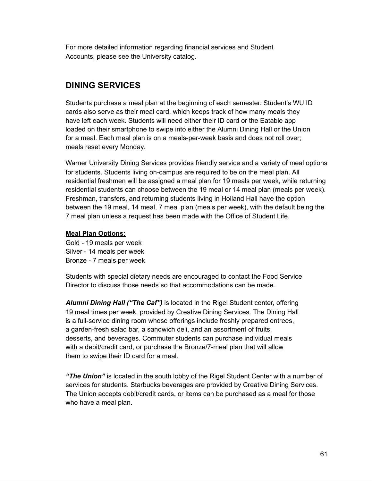For more detailed information regarding financial services and Student Accounts, please see the University catalog.

### **DINING SERVICES**

Students purchase a meal plan at the beginning of each semester. Student's WU ID cards also serve as their meal card, which keeps track of how many meals they have left each week. Students will need either their ID card or the Eatable app loaded on their smartphone to swipe into either the Alumni Dining Hall or the Union for a meal. Each meal plan is on a meals-per-week basis and does not roll over; meals reset every Monday.

Warner University Dining Services provides friendly service and a variety of meal options for students. Students living on-campus are required to be on the meal plan. All residential freshmen will be assigned a meal plan for 19 meals per week, while returning residential students can choose between the 19 meal or 14 meal plan (meals per week). Freshman, transfers, and returning students living in Holland Hall have the option between the 19 meal, 14 meal, 7 meal plan (meals per week), with the default being the 7 meal plan unless a request has been made with the Office of Student Life.

#### **Meal Plan Options:**

Gold - 19 meals per week Silver - 14 meals per week Bronze - 7 meals per week

Students with special dietary needs are encouraged to contact the Food Service Director to discuss those needs so that accommodations can be made.

*Alumni Dining Hall ("The Caf")* is located in the Rigel Student center, offering 19 meal times per week, provided by Creative Dining Services. The Dining Hall is a full-service dining room whose offerings include freshly prepared entrees, a garden-fresh salad bar, a sandwich deli, and an assortment of fruits, desserts, and beverages. Commuter students can purchase individual meals with a debit/credit card, or purchase the Bronze/7-meal plan that will allow them to swipe their ID card for a meal.

*"The Union"* is located in the south lobby of the Rigel Student Center with a number of services for students. Starbucks beverages are provided by Creative Dining Services. The Union accepts debit/credit cards, or items can be purchased as a meal for those who have a meal plan.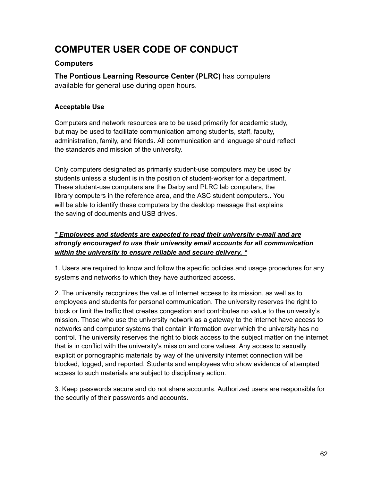### **COMPUTER USER CODE OF CONDUCT**

#### **Computers**

**The Pontious Learning Resource Center (PLRC)** has computers available for general use during open hours.

#### **Acceptable Use**

Computers and network resources are to be used primarily for academic study, but may be used to facilitate communication among students, staff, faculty, administration, family, and friends. All communication and language should reflect the standards and mission of the university.

Only computers designated as primarily student-use computers may be used by students unless a student is in the position of student-worker for a department. These student-use computers are the Darby and PLRC lab computers, the library computers in the reference area, and the ASC student computers.. You will be able to identify these computers by the desktop message that explains the saving of documents and USB drives.

#### *\* Employees and students are expected to read their university e-mail and are strongly encouraged to use their university email accounts for all communication within the university to ensure reliable and secure delivery. \**

1. Users are required to know and follow the specific policies and usage procedures for any systems and networks to which they have authorized access.

2. The university recognizes the value of Internet access to its mission, as well as to employees and students for personal communication. The university reserves the right to block or limit the traffic that creates congestion and contributes no value to the university's mission. Those who use the university network as a gateway to the internet have access to networks and computer systems that contain information over which the university has no control. The university reserves the right to block access to the subject matter on the internet that is in conflict with the university's mission and core values. Any access to sexually explicit or pornographic materials by way of the university internet connection will be blocked, logged, and reported. Students and employees who show evidence of attempted access to such materials are subject to disciplinary action.

3. Keep passwords secure and do not share accounts. Authorized users are responsible for the security of their passwords and accounts.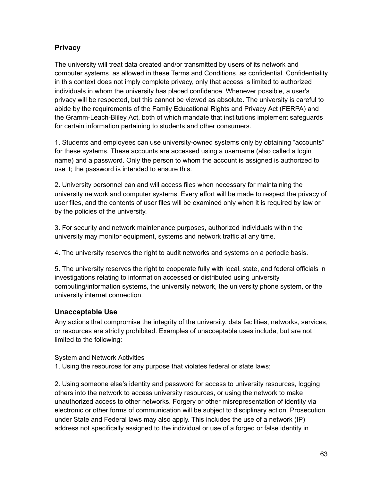#### **Privacy**

The university will treat data created and/or transmitted by users of its network and computer systems, as allowed in these Terms and Conditions, as confidential. Confidentiality in this context does not imply complete privacy, only that access is limited to authorized individuals in whom the university has placed confidence. Whenever possible, a user's privacy will be respected, but this cannot be viewed as absolute. The university is careful to abide by the requirements of the Family Educational Rights and Privacy Act (FERPA) and the Gramm-Leach-Bliley Act, both of which mandate that institutions implement safeguards for certain information pertaining to students and other consumers.

1. Students and employees can use university-owned systems only by obtaining "accounts" for these systems. These accounts are accessed using a username (also called a login name) and a password. Only the person to whom the account is assigned is authorized to use it; the password is intended to ensure this.

2. University personnel can and will access files when necessary for maintaining the university network and computer systems. Every effort will be made to respect the privacy of user files, and the contents of user files will be examined only when it is required by law or by the policies of the university.

3. For security and network maintenance purposes, authorized individuals within the university may monitor equipment, systems and network traffic at any time.

4. The university reserves the right to audit networks and systems on a periodic basis.

5. The university reserves the right to cooperate fully with local, state, and federal officials in investigations relating to information accessed or distributed using university computing/information systems, the university network, the university phone system, or the university internet connection.

#### **Unacceptable Use**

Any actions that compromise the integrity of the university, data facilities, networks, services, or resources are strictly prohibited. Examples of unacceptable uses include, but are not limited to the following:

System and Network Activities

1. Using the resources for any purpose that violates federal or state laws;

2. Using someone else's identity and password for access to university resources, logging others into the network to access university resources, or using the network to make unauthorized access to other networks. Forgery or other misrepresentation of identity via electronic or other forms of communication will be subject to disciplinary action. Prosecution under State and Federal laws may also apply. This includes the use of a network (IP) address not specifically assigned to the individual or use of a forged or false identity in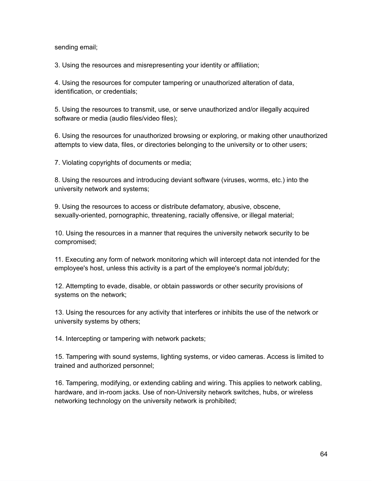sending email;

3. Using the resources and misrepresenting your identity or affiliation;

4. Using the resources for computer tampering or unauthorized alteration of data, identification, or credentials;

5. Using the resources to transmit, use, or serve unauthorized and/or illegally acquired software or media (audio files/video files);

6. Using the resources for unauthorized browsing or exploring, or making other unauthorized attempts to view data, files, or directories belonging to the university or to other users;

7. Violating copyrights of documents or media;

8. Using the resources and introducing deviant software (viruses, worms, etc.) into the university network and systems;

9. Using the resources to access or distribute defamatory, abusive, obscene, sexually-oriented, pornographic, threatening, racially offensive, or illegal material;

10. Using the resources in a manner that requires the university network security to be compromised;

11. Executing any form of network monitoring which will intercept data not intended for the employee's host, unless this activity is a part of the employee's normal job/duty;

12. Attempting to evade, disable, or obtain passwords or other security provisions of systems on the network;

13. Using the resources for any activity that interferes or inhibits the use of the network or university systems by others;

14. Intercepting or tampering with network packets;

15. Tampering with sound systems, lighting systems, or video cameras. Access is limited to trained and authorized personnel;

16. Tampering, modifying, or extending cabling and wiring. This applies to network cabling, hardware, and in-room jacks. Use of non-University network switches, hubs, or wireless networking technology on the university network is prohibited;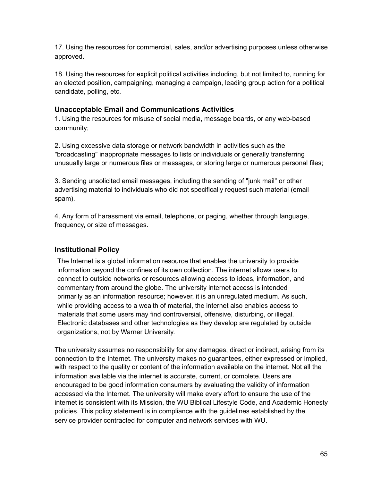17. Using the resources for commercial, sales, and/or advertising purposes unless otherwise approved.

18. Using the resources for explicit political activities including, but not limited to, running for an elected position, campaigning, managing a campaign, leading group action for a political candidate, polling, etc.

#### **Unacceptable Email and Communications Activities**

1. Using the resources for misuse of social media, message boards, or any web-based community;

2. Using excessive data storage or network bandwidth in activities such as the "broadcasting" inappropriate messages to lists or individuals or generally transferring unusually large or numerous files or messages, or storing large or numerous personal files;

3. Sending unsolicited email messages, including the sending of "junk mail" or other advertising material to individuals who did not specifically request such material (email spam).

4. Any form of harassment via email, telephone, or paging, whether through language, frequency, or size of messages.

#### **Institutional Policy**

The Internet is a global information resource that enables the university to provide information beyond the confines of its own collection. The internet allows users to connect to outside networks or resources allowing access to ideas, information, and commentary from around the globe. The university internet access is intended primarily as an information resource; however, it is an unregulated medium. As such, while providing access to a wealth of material, the internet also enables access to materials that some users may find controversial, offensive, disturbing, or illegal. Electronic databases and other technologies as they develop are regulated by outside organizations, not by Warner University.

The university assumes no responsibility for any damages, direct or indirect, arising from its connection to the Internet. The university makes no guarantees, either expressed or implied, with respect to the quality or content of the information available on the internet. Not all the information available via the internet is accurate, current, or complete. Users are encouraged to be good information consumers by evaluating the validity of information accessed via the Internet. The university will make every effort to ensure the use of the internet is consistent with its Mission, the WU Biblical Lifestyle Code, and Academic Honesty policies. This policy statement is in compliance with the guidelines established by the service provider contracted for computer and network services with WU.